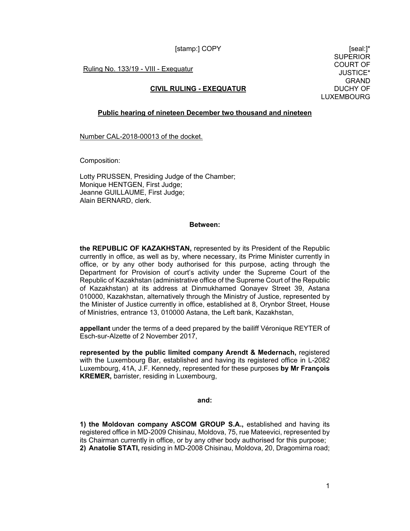[stamp:] COPY [seal:]\*

Ruling No. 133/19 - VIII - Exequatur

# **CIVIL RULING - EXEQUATUR**

SUPERIOR COURT OF JUSTICE\* GRAND DUCHY OF LUXEMBOURG

## **Public hearing of nineteen December two thousand and nineteen**

Number CAL-2018-00013 of the docket.

Composition:

Lotty PRUSSEN, Presiding Judge of the Chamber; Monique HENTGEN, First Judge; Jeanne GUILLAUME, First Judge; Alain BERNARD, clerk.

#### **Between:**

**the REPUBLIC OF KAZAKHSTAN,** represented by its President of the Republic currently in office, as well as by, where necessary, its Prime Minister currently in office, or by any other body authorised for this purpose, acting through the Department for Provision of court's activity under the Supreme Court of the Republic of Kazakhstan (administrative office of the Supreme Court of the Republic of Kazakhstan) at its address at Dinmukhamed Qonayev Street 39, Astana 010000, Kazakhstan, alternatively through the Ministry of Justice, represented by the Minister of Justice currently in office, established at 8, Orynbor Street, House of Ministries, entrance 13, 010000 Astana, the Left bank, Kazakhstan,

**appellant** under the terms of a deed prepared by the bailiff Véronique REYTER of Esch-sur-Alzette of 2 November 2017,

**represented by the public limited company Arendt & Medernach,** registered with the Luxembourg Bar, established and having its registered office in L-2082 Luxembourg, 41A, J.F. Kennedy, represented for these purposes **by Mr François KREMER,** barrister, residing in Luxembourg,

#### **and:**

**1) the Moldovan company ASCOM GROUP S.A.,** established and having its registered office in MD-2009 Chisinau, Moldova, 75, rue Mateevici, represented by its Chairman currently in office, or by any other body authorised for this purpose; **2) Anatolie STATI,** residing in MD-2008 Chisinau, Moldova, 20, Dragomirna road;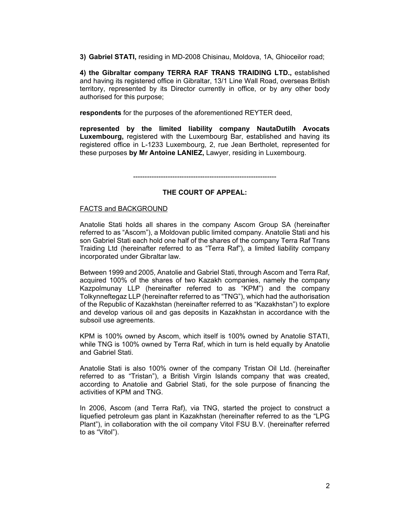**3) Gabriel STATI,** residing in MD-2008 Chisinau, Moldova, 1A, Ghioceilor road;

**4) the Gibraltar company TERRA RAF TRANS TRAIDING LTD.,** established and having its registered office in Gibraltar, 13/1 Line Wall Road, overseas British territory, represented by its Director currently in office, or by any other body authorised for this purpose;

**respondents** for the purposes of the aforementioned REYTER deed,

**represented by the limited liability company NautaDutilh Avocats Luxembourg,** registered with the Luxembourg Bar, established and having its registered office in L-1233 Luxembourg, 2, rue Jean Bertholet, represented for these purposes **by Mr Antoine LANIEZ,** Lawyer, residing in Luxembourg.

--------------------------------------------------------------

## **THE COURT OF APPEAL:**

#### FACTS and BACKGROUND

Anatolie Stati holds all shares in the company Ascom Group SA (hereinafter referred to as "Ascom"), a Moldovan public limited company. Anatolie Stati and his son Gabriel Stati each hold one half of the shares of the company Terra Raf Trans Traiding Ltd (hereinafter referred to as "Terra Raf"), a limited liability company incorporated under Gibraltar law.

Between 1999 and 2005, Anatolie and Gabriel Stati, through Ascom and Terra Raf, acquired 100% of the shares of two Kazakh companies, namely the company Kazpolmunay LLP (hereinafter referred to as "KPM") and the company Tolkynneftegaz LLP (hereinafter referred to as "TNG"), which had the authorisation of the Republic of Kazakhstan (hereinafter referred to as "Kazakhstan") to explore and develop various oil and gas deposits in Kazakhstan in accordance with the subsoil use agreements.

KPM is 100% owned by Ascom, which itself is 100% owned by Anatolie STATI, while TNG is 100% owned by Terra Raf, which in turn is held equally by Anatolie and Gabriel Stati.

Anatolie Stati is also 100% owner of the company Tristan Oil Ltd. (hereinafter referred to as "Tristan"), a British Virgin Islands company that was created, according to Anatolie and Gabriel Stati, for the sole purpose of financing the activities of KPM and TNG.

In 2006, Ascom (and Terra Raf), via TNG, started the project to construct a liquefied petroleum gas plant in Kazakhstan (hereinafter referred to as the "LPG Plant"), in collaboration with the oil company Vitol FSU B.V. (hereinafter referred to as "Vitol").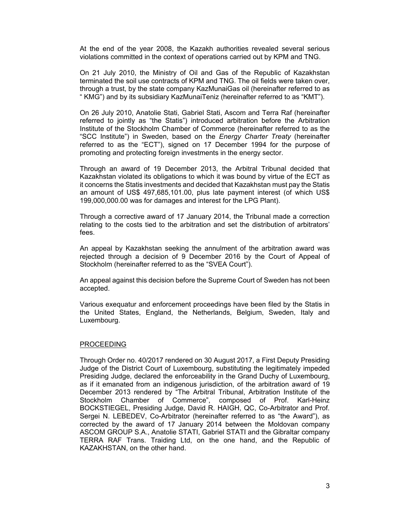At the end of the year 2008, the Kazakh authorities revealed several serious violations committed in the context of operations carried out by KPM and TNG.

On 21 July 2010, the Ministry of Oil and Gas of the Republic of Kazakhstan terminated the soil use contracts of KPM and TNG. The oil fields were taken over, through a trust, by the state company KazMunaiGas oil (hereinafter referred to as " KMG") and by its subsidiary KazMunaiTeniz (hereinafter referred to as "KMT").

On 26 July 2010, Anatolie Stati, Gabriel Stati, Ascom and Terra Raf (hereinafter referred to jointly as "the Statis") introduced arbitration before the Arbitration Institute of the Stockholm Chamber of Commerce (hereinafter referred to as the "SCC Institute") in Sweden, based on the *Energy Charter Treaty* (hereinafter referred to as the "ECT"), signed on 17 December 1994 for the purpose of promoting and protecting foreign investments in the energy sector.

Through an award of 19 December 2013, the Arbitral Tribunal decided that Kazakhstan violated its obligations to which it was bound by virtue of the ECT as it concerns the Statis investments and decided that Kazakhstan must pay the Statis an amount of US\$ 497,685,101.00, plus late payment interest (of which US\$ 199,000,000.00 was for damages and interest for the LPG Plant).

Through a corrective award of 17 January 2014, the Tribunal made a correction relating to the costs tied to the arbitration and set the distribution of arbitrators' fees.

An appeal by Kazakhstan seeking the annulment of the arbitration award was rejected through a decision of 9 December 2016 by the Court of Appeal of Stockholm (hereinafter referred to as the "SVEA Court").

An appeal against this decision before the Supreme Court of Sweden has not been accepted.

Various exequatur and enforcement proceedings have been filed by the Statis in the United States, England, the Netherlands, Belgium, Sweden, Italy and Luxembourg.

## PROCEEDING

Through Order no. 40/2017 rendered on 30 August 2017, a First Deputy Presiding Judge of the District Court of Luxembourg, substituting the legitimately impeded Presiding Judge, declared the enforceability in the Grand Duchy of Luxembourg, as if it emanated from an indigenous jurisdiction, of the arbitration award of 19 December 2013 rendered by "The Arbitral Tribunal, Arbitration Institute of the Stockholm Chamber of Commerce", composed of Prof. Karl-Heinz BOCKSTIEGEL, Presiding Judge, David R. HAIGH, QC, Co-Arbitrator and Prof. Sergei N. LEBEDEV, Co-Arbitrator (hereinafter referred to as "the Award"), as corrected by the award of 17 January 2014 between the Moldovan company ASCOM GROUP S.A., Anatolie STATI, Gabriel STATI and the Gibraltar company TERRA RAF Trans. Traiding Ltd, on the one hand, and the Republic of KAZAKHSTAN, on the other hand.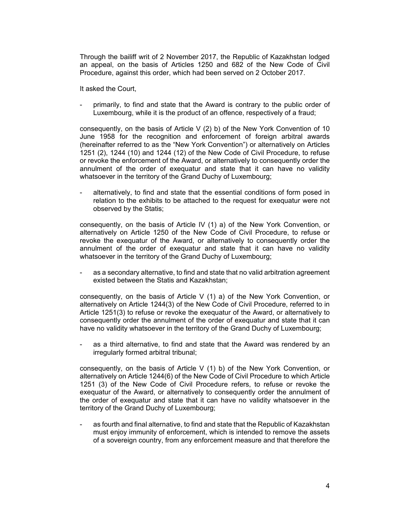Through the bailiff writ of 2 November 2017, the Republic of Kazakhstan lodged an appeal, on the basis of Articles 1250 and 682 of the New Code of Civil Procedure, against this order, which had been served on 2 October 2017.

It asked the Court,

primarily, to find and state that the Award is contrary to the public order of Luxembourg, while it is the product of an offence, respectively of a fraud;

consequently, on the basis of Article V (2) b) of the New York Convention of 10 June 1958 for the recognition and enforcement of foreign arbitral awards (hereinafter referred to as the "New York Convention") or alternatively on Articles 1251 (2), 1244 (10) and 1244 (12) of the New Code of Civil Procedure, to refuse or revoke the enforcement of the Award, or alternatively to consequently order the annulment of the order of exequatur and state that it can have no validity whatsoever in the territory of the Grand Duchy of Luxembourg;

alternatively, to find and state that the essential conditions of form posed in relation to the exhibits to be attached to the request for exequatur were not observed by the Statis;

consequently, on the basis of Article IV (1) a) of the New York Convention, or alternatively on Article 1250 of the New Code of Civil Procedure, to refuse or revoke the exequatur of the Award, or alternatively to consequently order the annulment of the order of exequatur and state that it can have no validity whatsoever in the territory of the Grand Duchy of Luxembourg;

as a secondary alternative, to find and state that no valid arbitration agreement existed between the Statis and Kazakhstan;

consequently, on the basis of Article V (1) a) of the New York Convention, or alternatively on Article 1244(3) of the New Code of Civil Procedure, referred to in Article 1251(3) to refuse or revoke the exequatur of the Award, or alternatively to consequently order the annulment of the order of exequatur and state that it can have no validity whatsoever in the territory of the Grand Duchy of Luxembourg;

as a third alternative, to find and state that the Award was rendered by an irregularly formed arbitral tribunal;

consequently, on the basis of Article V (1) b) of the New York Convention, or alternatively on Article 1244(6) of the New Code of Civil Procedure to which Article 1251 (3) of the New Code of Civil Procedure refers, to refuse or revoke the exequatur of the Award, or alternatively to consequently order the annulment of the order of exequatur and state that it can have no validity whatsoever in the territory of the Grand Duchy of Luxembourg;

as fourth and final alternative, to find and state that the Republic of Kazakhstan must enjoy immunity of enforcement, which is intended to remove the assets of a sovereign country, from any enforcement measure and that therefore the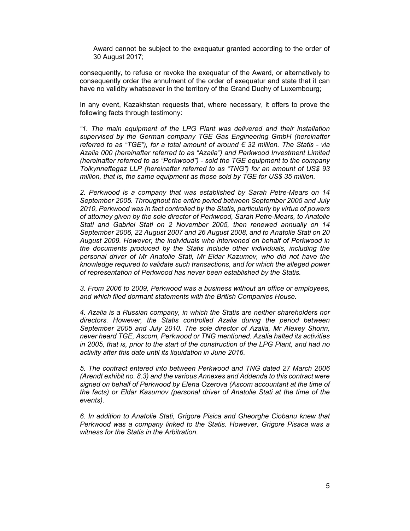Award cannot be subject to the exequatur granted according to the order of 30 August 2017;

consequently, to refuse or revoke the exequatur of the Award, or alternatively to consequently order the annulment of the order of exequatur and state that it can have no validity whatsoever in the territory of the Grand Duchy of Luxembourg;

In any event, Kazakhstan requests that, where necessary, it offers to prove the following facts through testimony:

*"1. The main equipment of the LPG Plant was delivered and their installation supervised by the German company TGE Gas Engineering GmbH (hereinafter referred to as "TGE"), for a total amount of around € 32 million. The Statis - via Azalia 000 (hereinafter referred to as "Azalia") and Perkwood Investment Limited (hereinafter referred to as "Perkwood") - sold the TGE equipment to the company Tolkynneftegaz LLP (hereinafter referred to as "TNG") for an amount of US\$ 93 million, that is, the same equipment as those sold by TGE for US\$ 35 million.* 

*2. Perkwood is a company that was established by Sarah Petre-Mears on 14 September 2005. Throughout the entire period between September 2005 and July 2010, Perkwood was in fact controlled by the Statis, particularly by virtue of powers of attorney given by the sole director of Perkwood, Sarah Petre-Mears, to Anatolie Stati and Gabriel Stati on 2 November 2005, then renewed annually on 14 September 2006, 22 August 2007 and 26 August 2008, and to Anatolie Stati on 20 August 2009. However, the individuals who intervened on behalf of Perkwood in the documents produced by the Statis include other individuals, including the personal driver of Mr Anatolie Stati, Mr Eldar Kazumov, who did not have the knowledge required to validate such transactions, and for which the alleged power of representation of Perkwood has never been established by the Statis.* 

*3. From 2006 to 2009, Perkwood was a business without an office or employees, and which filed dormant statements with the British Companies House.* 

*4. Azalia is a Russian company, in which the Statis are neither shareholders nor directors. However, the Statis controlled Azalia during the period between September 2005 and July 2010. The sole director of Azalia, Mr Alexey Shorin, never heard TGE, Ascom, Perkwood or TNG mentioned. Azalia halted its activities in 2005, that is, prior to the start of the construction of the LPG Plant, and had no activity after this date until its liquidation in June 2016.* 

*5. The contract entered into between Perkwood and TNG dated 27 March 2006 (Arendt exhibit no. 8.3) and the various Annexes and Addenda to this contract were signed on behalf of Perkwood by Elena Ozerova (Ascom accountant at the time of the facts) or Eldar Kasumov (personal driver of Anatolie Stati at the time of the events).* 

*6. In addition to Anatolie Stati, Grigore Pisica and Gheorghe Ciobanu knew that Perkwood was a company linked to the Statis. However, Grigore Pisaca was a witness for the Statis in the Arbitration.*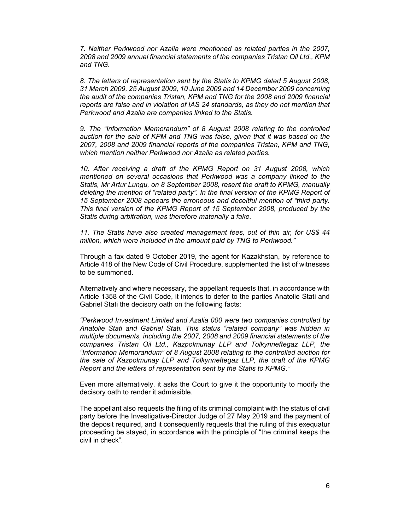*7. Neither Perkwood nor Azalia were mentioned as related parties in the 2007, 2008 and 2009 annual financial statements of the companies Tristan Oil Ltd., KPM and TNG.* 

*8. The letters of representation sent by the Statis to KPMG dated 5 August 2008, 31 March 2009, 25 August 2009, 10 June 2009 and 14 December 2009 concerning the audit of the companies Tristan, KPM and TNG for the 2008 and 2009 financial reports are false and in violation of IAS 24 standards, as they do not mention that Perkwood and Azalia are companies linked to the Statis.* 

*9. The "Information Memorandum" of 8 August 2008 relating to the controlled auction for the sale of KPM and TNG was false, given that it was based on the 2007, 2008 and 2009 financial reports of the companies Tristan, KPM and TNG, which mention neither Perkwood nor Azalia as related parties.* 

10. After receiving a draft of the KPMG Report on 31 August 2008, which *mentioned on several occasions that Perkwood was a company linked to the Statis, Mr Artur Lungu, on 8 September 2008, resent the draft to KPMG, manually deleting the mention of "related party". In the final version of the KPMG Report of 15 September 2008 appears the erroneous and deceitful mention of "third party. This final version of the KPMG Report of 15 September 2008, produced by the Statis during arbitration, was therefore materially a fake.* 

*11. The Statis have also created management fees, out of thin air, for US\$ 44 million, which were included in the amount paid by TNG to Perkwood."* 

Through a fax dated 9 October 2019, the agent for Kazakhstan, by reference to Article 418 of the New Code of Civil Procedure, supplemented the list of witnesses to be summoned.

Alternatively and where necessary, the appellant requests that, in accordance with Article 1358 of the Civil Code, it intends to defer to the parties Anatolie Stati and Gabriel Stati the decisory oath on the following facts:

*"Perkwood Investment Limited and Azalia 000 were two companies controlled by Anatolie Stati and Gabriel Stati. This status "related company" was hidden in multiple documents, including the 2007, 2008 and 2009 financial statements of the companies Tristan Oil Ltd., Kazpolmunay LLP and Tolkynneftegaz LLP, the "Information Memorandum" of 8 August 2008 relating to the controlled auction for the sale of Kazpolmunay LLP and Tolkynneftegaz LLP, the draft of the KPMG Report and the letters of representation sent by the Statis to KPMG."* 

Even more alternatively, it asks the Court to give it the opportunity to modify the decisory oath to render it admissible.

The appellant also requests the filing of its criminal complaint with the status of civil party before the Investigative-Director Judge of 27 May 2019 and the payment of the deposit required, and it consequently requests that the ruling of this exequatur proceeding be stayed, in accordance with the principle of "the criminal keeps the civil in check".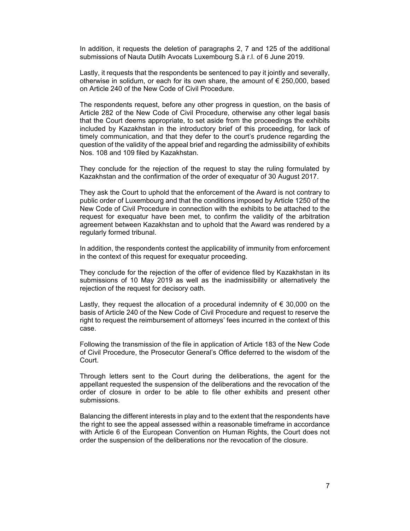In addition, it requests the deletion of paragraphs 2, 7 and 125 of the additional submissions of Nauta Dutilh Avocats Luxembourg S.à r.l. of 6 June 2019.

Lastly, it requests that the respondents be sentenced to pay it jointly and severally, otherwise in solidum, or each for its own share, the amount of  $\epsilon$  250,000, based on Article 240 of the New Code of Civil Procedure.

The respondents request, before any other progress in question, on the basis of Article 282 of the New Code of Civil Procedure, otherwise any other legal basis that the Court deems appropriate, to set aside from the proceedings the exhibits included by Kazakhstan in the introductory brief of this proceeding, for lack of timely communication, and that they defer to the court's prudence regarding the question of the validity of the appeal brief and regarding the admissibility of exhibits Nos. 108 and 109 filed by Kazakhstan.

They conclude for the rejection of the request to stay the ruling formulated by Kazakhstan and the confirmation of the order of exequatur of 30 August 2017.

They ask the Court to uphold that the enforcement of the Award is not contrary to public order of Luxembourg and that the conditions imposed by Article 1250 of the New Code of Civil Procedure in connection with the exhibits to be attached to the request for exequatur have been met, to confirm the validity of the arbitration agreement between Kazakhstan and to uphold that the Award was rendered by a regularly formed tribunal.

In addition, the respondents contest the applicability of immunity from enforcement in the context of this request for exequatur proceeding.

They conclude for the rejection of the offer of evidence filed by Kazakhstan in its submissions of 10 May 2019 as well as the inadmissibility or alternatively the rejection of the request for decisory oath.

Lastly, they request the allocation of a procedural indemnity of  $\epsilon$  30,000 on the basis of Article 240 of the New Code of Civil Procedure and request to reserve the right to request the reimbursement of attorneys' fees incurred in the context of this case.

Following the transmission of the file in application of Article 183 of the New Code of Civil Procedure, the Prosecutor General's Office deferred to the wisdom of the Court.

Through letters sent to the Court during the deliberations, the agent for the appellant requested the suspension of the deliberations and the revocation of the order of closure in order to be able to file other exhibits and present other submissions.

Balancing the different interests in play and to the extent that the respondents have the right to see the appeal assessed within a reasonable timeframe in accordance with Article 6 of the European Convention on Human Rights, the Court does not order the suspension of the deliberations nor the revocation of the closure.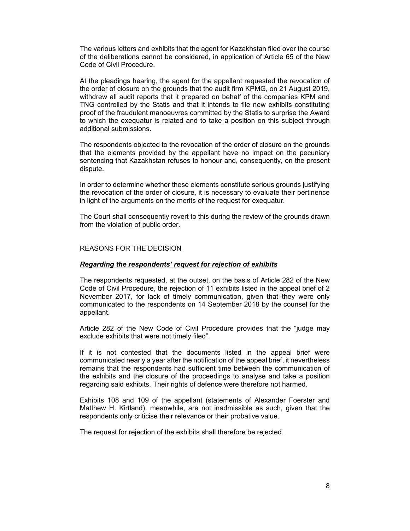The various letters and exhibits that the agent for Kazakhstan filed over the course of the deliberations cannot be considered, in application of Article 65 of the New Code of Civil Procedure.

At the pleadings hearing, the agent for the appellant requested the revocation of the order of closure on the grounds that the audit firm KPMG, on 21 August 2019, withdrew all audit reports that it prepared on behalf of the companies KPM and TNG controlled by the Statis and that it intends to file new exhibits constituting proof of the fraudulent manoeuvres committed by the Statis to surprise the Award to which the exequatur is related and to take a position on this subject through additional submissions.

The respondents objected to the revocation of the order of closure on the grounds that the elements provided by the appellant have no impact on the pecuniary sentencing that Kazakhstan refuses to honour and, consequently, on the present dispute.

In order to determine whether these elements constitute serious grounds justifying the revocation of the order of closure, it is necessary to evaluate their pertinence in light of the arguments on the merits of the request for exequatur.

The Court shall consequently revert to this during the review of the grounds drawn from the violation of public order.

## REASONS FOR THE DECISION

#### *Regarding the respondents' request for rejection of exhibits*

The respondents requested, at the outset, on the basis of Article 282 of the New Code of Civil Procedure, the rejection of 11 exhibits listed in the appeal brief of 2 November 2017, for lack of timely communication, given that they were only communicated to the respondents on 14 September 2018 by the counsel for the appellant.

Article 282 of the New Code of Civil Procedure provides that the "judge may exclude exhibits that were not timely filed".

If it is not contested that the documents listed in the appeal brief were communicated nearly a year after the notification of the appeal brief, it nevertheless remains that the respondents had sufficient time between the communication of the exhibits and the closure of the proceedings to analyse and take a position regarding said exhibits. Their rights of defence were therefore not harmed.

Exhibits 108 and 109 of the appellant (statements of Alexander Foerster and Matthew H. Kirtland), meanwhile, are not inadmissible as such, given that the respondents only criticise their relevance or their probative value.

The request for rejection of the exhibits shall therefore be rejected.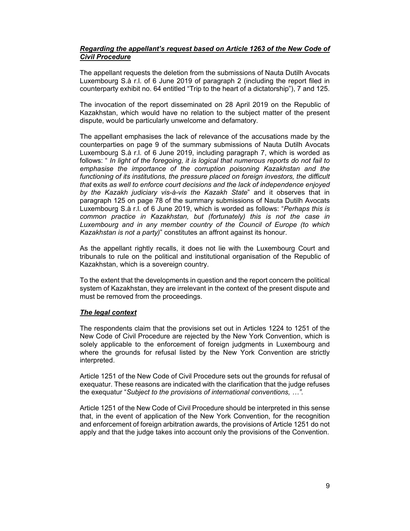## *Regarding the appellant's request based on Article 1263 of the New Code of Civil Procedure*

The appellant requests the deletion from the submissions of Nauta Dutilh Avocats Luxembourg S.à r.l. of 6 June 2019 of paragraph 2 (including the report filed in counterparty exhibit no. 64 entitled "Trip to the heart of a dictatorship"), 7 and 125.

The invocation of the report disseminated on 28 April 2019 on the Republic of Kazakhstan, which would have no relation to the subject matter of the present dispute, would be particularly unwelcome and defamatory.

The appellant emphasises the lack of relevance of the accusations made by the counterparties on page 9 of the summary submissions of Nauta Dutilh Avocats Luxembourg S.à r.l. of 6 June 2019, including paragraph 7, which is worded as follows: " *In light of the foregoing, it is logical that numerous reports do not fail to emphasise the importance of the corruption poisoning Kazakhstan and the functioning of its institutions, the pressure placed on foreign investors, the difficult that* exits *as well to enforce court decisions and the lack of independence enjoyed by the Kazakh judiciary vis-à-vis the Kazakh State*" and it observes that in paragraph 125 on page 78 of the summary submissions of Nauta Dutilh Avocats Luxembourg S.à r.l. of 6 June 2019, which is worded as follows: "*Perhaps this is common practice in Kazakhstan, but (fortunately) this is not the case in Luxembourg and in any member country of the Council of Europe (to which Kazakhstan is not a party)*" constitutes an affront against its honour.

As the appellant rightly recalls, it does not lie with the Luxembourg Court and tribunals to rule on the political and institutional organisation of the Republic of Kazakhstan, which is a sovereign country.

To the extent that the developments in question and the report concern the political system of Kazakhstan, they are irrelevant in the context of the present dispute and must be removed from the proceedings.

## *The legal context*

The respondents claim that the provisions set out in Articles 1224 to 1251 of the New Code of Civil Procedure are rejected by the New York Convention, which is solely applicable to the enforcement of foreign judgments in Luxembourg and where the grounds for refusal listed by the New York Convention are strictly interpreted.

Article 1251 of the New Code of Civil Procedure sets out the grounds for refusal of exequatur. These reasons are indicated with the clarification that the judge refuses the exequatur "*Subject to the provisions of international conventions, …".* 

Article 1251 of the New Code of Civil Procedure should be interpreted in this sense that, in the event of application of the New York Convention, for the recognition and enforcement of foreign arbitration awards, the provisions of Article 1251 do not apply and that the judge takes into account only the provisions of the Convention.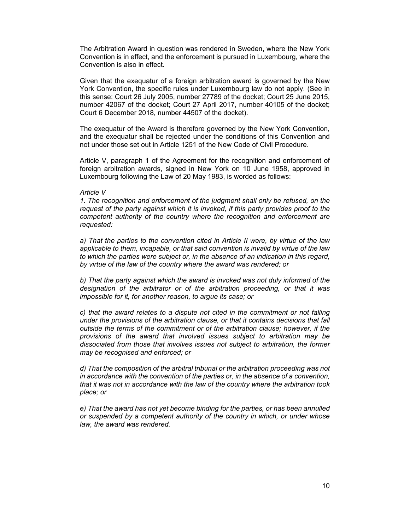The Arbitration Award in question was rendered in Sweden, where the New York Convention is in effect, and the enforcement is pursued in Luxembourg, where the Convention is also in effect.

Given that the exequatur of a foreign arbitration award is governed by the New York Convention, the specific rules under Luxembourg law do not apply. (See in this sense: Court 26 July 2005, number 27789 of the docket; Court 25 June 2015, number 42067 of the docket; Court 27 April 2017, number 40105 of the docket; Court 6 December 2018, number 44507 of the docket).

The exequatur of the Award is therefore governed by the New York Convention, and the exequatur shall be rejected under the conditions of this Convention and not under those set out in Article 1251 of the New Code of Civil Procedure.

Article V, paragraph 1 of the Agreement for the recognition and enforcement of foreign arbitration awards, signed in New York on 10 June 1958, approved in Luxembourg following the Law of 20 May 1983, is worded as follows:

#### *Article V*

*1. The recognition and enforcement of the judgment shall only be refused, on the request of the party against which it is invoked, if this party provides proof to the competent authority of the country where the recognition and enforcement are requested:* 

*a) That the parties to the convention cited in Article II were, by virtue of the law applicable to them, incapable, or that said convention is invalid by virtue of the law to which the parties were subject or, in the absence of an indication in this regard, by virtue of the law of the country where the award was rendered; or* 

*b) That the party against which the award is invoked was not duly informed of the designation of the arbitrator or of the arbitration proceeding, or that it was impossible for it, for another reason, to argue its case; or* 

*c) that the award relates to a dispute not cited in the commitment or not falling under the provisions of the arbitration clause, or that it contains decisions that fall outside the terms of the commitment or of the arbitration clause; however, if the provisions of the award that involved issues subject to arbitration may be dissociated from those that involves issues not subject to arbitration, the former may be recognised and enforced; or* 

*d) That the composition of the arbitral tribunal or the arbitration proceeding was not in accordance with the convention of the parties or, in the absence of a convention, that it was not in accordance with the law of the country where the arbitration took place; or* 

*e) That the award has not yet become binding for the parties, or has been annulled or suspended by a competent authority of the country in which, or under whose law, the award was rendered.*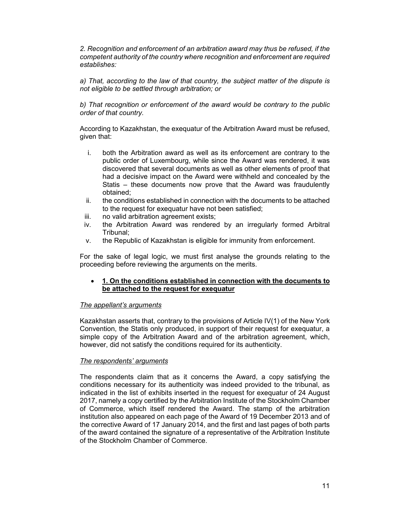*2. Recognition and enforcement of an arbitration award may thus be refused, if the competent authority of the country where recognition and enforcement are required establishes:* 

*a) That, according to the law of that country, the subject matter of the dispute is not eligible to be settled through arbitration; or* 

*b) That recognition or enforcement of the award would be contrary to the public order of that country.* 

According to Kazakhstan, the exequatur of the Arbitration Award must be refused, given that:

- i. both the Arbitration award as well as its enforcement are contrary to the public order of Luxembourg, while since the Award was rendered, it was discovered that several documents as well as other elements of proof that had a decisive impact on the Award were withheld and concealed by the Statis – these documents now prove that the Award was fraudulently obtained;
- ii. the conditions established in connection with the documents to be attached to the request for exequatur have not been satisfied;
- iii. no valid arbitration agreement exists;
- iv. the Arbitration Award was rendered by an irregularly formed Arbitral Tribunal;
- v. the Republic of Kazakhstan is eligible for immunity from enforcement.

For the sake of legal logic, we must first analyse the grounds relating to the proceeding before reviewing the arguments on the merits.

## **1. On the conditions established in connection with the documents to be attached to the request for exequatur**

# *The appellant's arguments*

Kazakhstan asserts that, contrary to the provisions of Article IV(1) of the New York Convention, the Statis only produced, in support of their request for exequatur, a simple copy of the Arbitration Award and of the arbitration agreement, which, however, did not satisfy the conditions required for its authenticity.

# *The respondents' arguments*

The respondents claim that as it concerns the Award, a copy satisfying the conditions necessary for its authenticity was indeed provided to the tribunal, as indicated in the list of exhibits inserted in the request for exequatur of 24 August 2017, namely a copy certified by the Arbitration Institute of the Stockholm Chamber of Commerce, which itself rendered the Award. The stamp of the arbitration institution also appeared on each page of the Award of 19 December 2013 and of the corrective Award of 17 January 2014, and the first and last pages of both parts of the award contained the signature of a representative of the Arbitration Institute of the Stockholm Chamber of Commerce.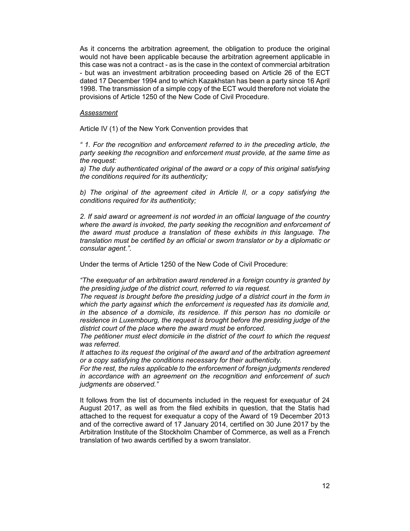As it concerns the arbitration agreement, the obligation to produce the original would not have been applicable because the arbitration agreement applicable in this case was not a contract - as is the case in the context of commercial arbitration - but was an investment arbitration proceeding based on Article 26 of the ECT dated 17 December 1994 and to which Kazakhstan has been a party since 16 April 1998. The transmission of a simple copy of the ECT would therefore not violate the provisions of Article 1250 of the New Code of Civil Procedure.

#### *Assessment*

Article IV (1) of the New York Convention provides that

*" 1. For the recognition and enforcement referred to in the preceding article, the party seeking the recognition and enforcement must provide, at the same time as the request:*

*a) The duly authenticated original of the award or a copy of this original satisfying the conditions required for its authenticity;* 

*b) The original of the agreement cited in Article II, or a copy satisfying the conditions required for its authenticity;* 

*2. If said award or agreement is not worded in an official language of the country*  where the award is invoked, the party seeking the recognition and enforcement of *the award must produce a translation of these exhibits in this language. The translation must be certified by an official or sworn translator or by a diplomatic or consular agent."*.

Under the terms of Article 1250 of the New Code of Civil Procedure:

*"The exequatur of an arbitration award rendered in a foreign country is granted by the presiding judge of the district court, referred to via request.*

*The request is brought before the presiding judge of a district court in the form in which the party against which the enforcement is requested has its domicile and, in the absence of a domicile, its residence. If this person has no domicile or residence in Luxembourg, the request is brought before the presiding judge of the district court of the place where the award must be enforced.*

*The petitioner must elect domicile in the district of the court to which the request was referred.*

*It attaches to its request the original of the award and of the arbitration agreement or a copy satisfying the conditions necessary for their authenticity.*

*For the rest, the rules applicable to the enforcement of foreign judgments rendered in accordance with an agreement on the recognition and enforcement of such judgments are observed."* 

It follows from the list of documents included in the request for exequatur of 24 August 2017, as well as from the filed exhibits in question, that the Statis had attached to the request for exequatur a copy of the Award of 19 December 2013 and of the corrective award of 17 January 2014, certified on 30 June 2017 by the Arbitration Institute of the Stockholm Chamber of Commerce, as well as a French translation of two awards certified by a sworn translator.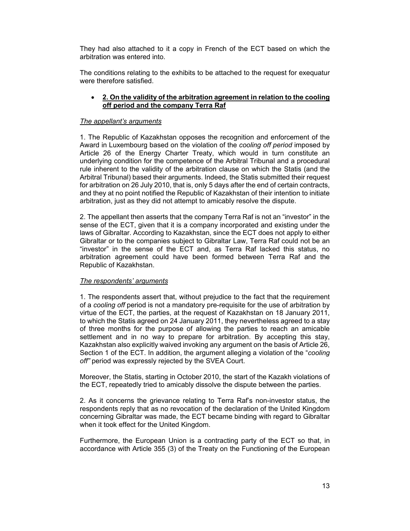They had also attached to it a copy in French of the ECT based on which the arbitration was entered into.

The conditions relating to the exhibits to be attached to the request for exequatur were therefore satisfied.

## **2. On the validity of the arbitration agreement in relation to the cooling off period and the company Terra Raf**

## *The appellant's arguments*

1. The Republic of Kazakhstan opposes the recognition and enforcement of the Award in Luxembourg based on the violation of the *cooling off period* imposed by Article 26 of the Energy Charter Treaty, which would in turn constitute an underlying condition for the competence of the Arbitral Tribunal and a procedural rule inherent to the validity of the arbitration clause on which the Statis (and the Arbitral Tribunal) based their arguments. Indeed, the Statis submitted their request for arbitration on 26 July 2010, that is, only 5 days after the end of certain contracts, and they at no point notified the Republic of Kazakhstan of their intention to initiate arbitration, just as they did not attempt to amicably resolve the dispute.

2. The appellant then asserts that the company Terra Raf is not an "investor" in the sense of the ECT, given that it is a company incorporated and existing under the laws of Gibraltar. According to Kazakhstan, since the ECT does not apply to either Gibraltar or to the companies subject to Gibraltar Law, Terra Raf could not be an "investor" in the sense of the ECT and, as Terra Raf lacked this status, no arbitration agreement could have been formed between Terra Raf and the Republic of Kazakhstan.

# *The respondents' arguments*

1. The respondents assert that, without prejudice to the fact that the requirement of a *cooling off* period is not a mandatory pre-requisite for the use of arbitration by virtue of the ECT, the parties, at the request of Kazakhstan on 18 January 2011, to which the Statis agreed on 24 January 2011, they nevertheless agreed to a stay of three months for the purpose of allowing the parties to reach an amicable settlement and in no way to prepare for arbitration. By accepting this stay, Kazakhstan also explicitly waived invoking any argument on the basis of Article 26, Section 1 of the ECT. In addition, the argument alleging a violation of the "*cooling off"* period was expressly rejected by the SVEA Court.

Moreover, the Statis, starting in October 2010, the start of the Kazakh violations of the ECT, repeatedly tried to amicably dissolve the dispute between the parties.

2. As it concerns the grievance relating to Terra Raf's non-investor status, the respondents reply that as no revocation of the declaration of the United Kingdom concerning Gibraltar was made, the ECT became binding with regard to Gibraltar when it took effect for the United Kingdom.

Furthermore, the European Union is a contracting party of the ECT so that, in accordance with Article 355 (3) of the Treaty on the Functioning of the European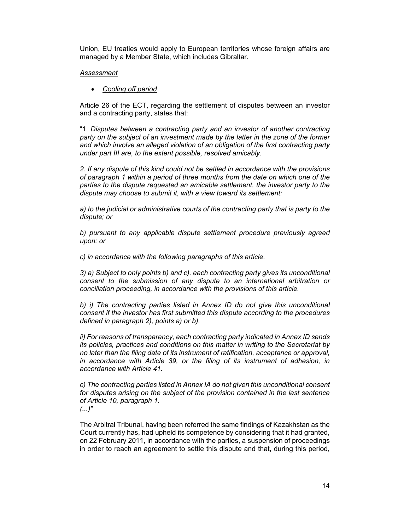Union, EU treaties would apply to European territories whose foreign affairs are managed by a Member State, which includes Gibraltar.

## *Assessment*

*Cooling off period*

Article 26 of the ECT, regarding the settlement of disputes between an investor and a contracting party, states that:

"1. *Disputes between a contracting party and an investor of another contracting party on the subject of an investment made by the latter in the zone of the former and which involve an alleged violation of an obligation of the first contracting party under part III are, to the extent possible, resolved amicably.* 

*2. If any dispute of this kind could not be settled in accordance with the provisions of paragraph 1 within a period of three months from the date on which one of the parties to the dispute requested an amicable settlement, the investor party to the dispute may choose to submit it, with a view toward its settlement:* 

*a) to the judicial or administrative courts of the contracting party that is party to the dispute; or* 

*b) pursuant to any applicable dispute settlement procedure previously agreed upon; or* 

*c) in accordance with the following paragraphs of this article.* 

*3) a) Subject to only points b) and c), each contracting party gives its unconditional consent to the submission of any dispute to an international arbitration or conciliation proceeding, in accordance with the provisions of this article.* 

*b) i)* The contracting parties listed in Annex ID do not give this unconditional *consent if the investor has first submitted this dispute according to the procedures defined in paragraph 2), points a) or b).* 

*ii) For reasons of transparency, each contracting party indicated in Annex ID sends its policies, practices and conditions on this matter in writing to the Secretariat by no later than the filing date of its instrument of ratification, acceptance or approval, in accordance with Article 39, or the filing of its instrument of adhesion, in accordance with Article 41.* 

*c) The contracting parties listed in Annex IA do not given this unconditional consent for disputes arising on the subject of the provision contained in the last sentence of Article 10, paragraph 1. (...)"* 

The Arbitral Tribunal, having been referred the same findings of Kazakhstan as the Court currently has, had upheld its competence by considering that it had granted, on 22 February 2011, in accordance with the parties, a suspension of proceedings in order to reach an agreement to settle this dispute and that, during this period,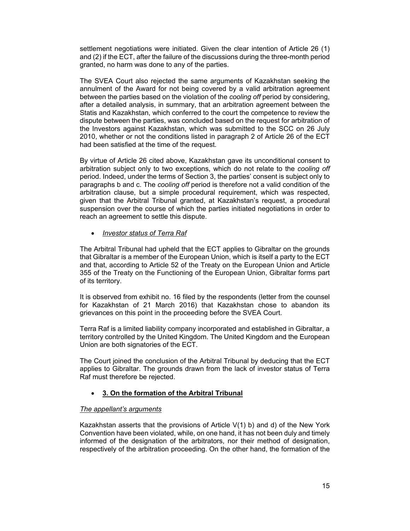settlement negotiations were initiated. Given the clear intention of Article 26 (1) and (2) if the ECT, after the failure of the discussions during the three-month period granted, no harm was done to any of the parties.

The SVEA Court also rejected the same arguments of Kazakhstan seeking the annulment of the Award for not being covered by a valid arbitration agreement between the parties based on the violation of the *cooling off* period by considering, after a detailed analysis, in summary, that an arbitration agreement between the Statis and Kazakhstan, which conferred to the court the competence to review the dispute between the parties, was concluded based on the request for arbitration of the Investors against Kazakhstan, which was submitted to the SCC on 26 July 2010, whether or not the conditions listed in paragraph 2 of Article 26 of the ECT had been satisfied at the time of the request.

By virtue of Article 26 cited above, Kazakhstan gave its unconditional consent to arbitration subject only to two exceptions, which do not relate to the *cooling off* period. Indeed, under the terms of Section 3, the parties' consent is subject only to paragraphs b and c. The *cooling off* period is therefore not a valid condition of the arbitration clause, but a simple procedural requirement, which was respected, given that the Arbitral Tribunal granted, at Kazakhstan's request, a procedural suspension over the course of which the parties initiated negotiations in order to reach an agreement to settle this dispute.

## *Investor status of Terra Raf*

The Arbitral Tribunal had upheld that the ECT applies to Gibraltar on the grounds that Gibraltar is a member of the European Union, which is itself a party to the ECT and that, according to Article 52 of the Treaty on the European Union and Article 355 of the Treaty on the Functioning of the European Union, Gibraltar forms part of its territory.

It is observed from exhibit no. 16 filed by the respondents (letter from the counsel for Kazakhstan of 21 March 2016) that Kazakhstan chose to abandon its grievances on this point in the proceeding before the SVEA Court.

Terra Raf is a limited liability company incorporated and established in Gibraltar, a territory controlled by the United Kingdom. The United Kingdom and the European Union are both signatories of the ECT.

The Court joined the conclusion of the Arbitral Tribunal by deducing that the ECT applies to Gibraltar. The grounds drawn from the lack of investor status of Terra Raf must therefore be rejected.

# **3. On the formation of the Arbitral Tribunal**

## *The appellant's arguments*

Kazakhstan asserts that the provisions of Article V(1) b) and d) of the New York Convention have been violated, while, on one hand, it has not been duly and timely informed of the designation of the arbitrators, nor their method of designation, respectively of the arbitration proceeding. On the other hand, the formation of the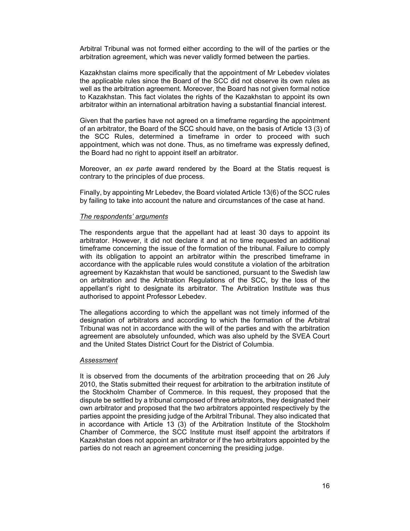Arbitral Tribunal was not formed either according to the will of the parties or the arbitration agreement, which was never validly formed between the parties.

Kazakhstan claims more specifically that the appointment of Mr Lebedev violates the applicable rules since the Board of the SCC did not observe its own rules as well as the arbitration agreement. Moreover, the Board has not given formal notice to Kazakhstan. This fact violates the rights of the Kazakhstan to appoint its own arbitrator within an international arbitration having a substantial financial interest.

Given that the parties have not agreed on a timeframe regarding the appointment of an arbitrator, the Board of the SCC should have, on the basis of Article 13 (3) of the SCC Rules, determined a timeframe in order to proceed with such appointment, which was not done. Thus, as no timeframe was expressly defined, the Board had no right to appoint itself an arbitrator.

Moreover, an *ex parte* award rendered by the Board at the Statis request is contrary to the principles of due process.

Finally, by appointing Mr Lebedev, the Board violated Article 13(6) of the SCC rules by failing to take into account the nature and circumstances of the case at hand.

#### *The respondents' arguments*

The respondents argue that the appellant had at least 30 days to appoint its arbitrator. However, it did not declare it and at no time requested an additional timeframe concerning the issue of the formation of the tribunal. Failure to comply with its obligation to appoint an arbitrator within the prescribed timeframe in accordance with the applicable rules would constitute a violation of the arbitration agreement by Kazakhstan that would be sanctioned, pursuant to the Swedish law on arbitration and the Arbitration Regulations of the SCC, by the loss of the appellant's right to designate its arbitrator. The Arbitration Institute was thus authorised to appoint Professor Lebedev.

The allegations according to which the appellant was not timely informed of the designation of arbitrators and according to which the formation of the Arbitral Tribunal was not in accordance with the will of the parties and with the arbitration agreement are absolutely unfounded, which was also upheld by the SVEA Court and the United States District Court for the District of Columbia.

#### *Assessment*

It is observed from the documents of the arbitration proceeding that on 26 July 2010, the Statis submitted their request for arbitration to the arbitration institute of the Stockholm Chamber of Commerce. In this request, they proposed that the dispute be settled by a tribunal composed of three arbitrators, they designated their own arbitrator and proposed that the two arbitrators appointed respectively by the parties appoint the presiding judge of the Arbitral Tribunal. They also indicated that in accordance with Article 13 (3) of the Arbitration Institute of the Stockholm Chamber of Commerce, the SCC Institute must itself appoint the arbitrators if Kazakhstan does not appoint an arbitrator or if the two arbitrators appointed by the parties do not reach an agreement concerning the presiding judge.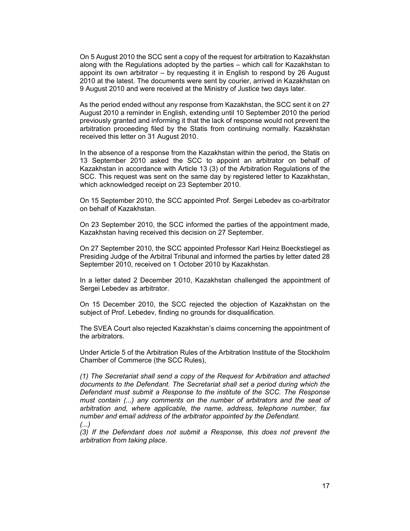On 5 August 2010 the SCC sent a copy of the request for arbitration to Kazakhstan along with the Regulations adopted by the parties – which call for Kazakhstan to appoint its own arbitrator – by requesting it in English to respond by 26 August 2010 at the latest. The documents were sent by courier, arrived in Kazakhstan on 9 August 2010 and were received at the Ministry of Justice two days later.

As the period ended without any response from Kazakhstan, the SCC sent it on 27 August 2010 a reminder in English, extending until 10 September 2010 the period previously granted and informing it that the lack of response would not prevent the arbitration proceeding filed by the Statis from continuing normally. Kazakhstan received this letter on 31 August 2010.

In the absence of a response from the Kazakhstan within the period, the Statis on 13 September 2010 asked the SCC to appoint an arbitrator on behalf of Kazakhstan in accordance with Article 13 (3) of the Arbitration Regulations of the SCC. This request was sent on the same day by registered letter to Kazakhstan, which acknowledged receipt on 23 September 2010.

On 15 September 2010, the SCC appointed Prof. Sergei Lebedev as co-arbitrator on behalf of Kazakhstan.

On 23 September 2010, the SCC informed the parties of the appointment made, Kazakhstan having received this decision on 27 September.

On 27 September 2010, the SCC appointed Professor Karl Heinz Boeckstiegel as Presiding Judge of the Arbitral Tribunal and informed the parties by letter dated 28 September 2010, received on 1 October 2010 by Kazakhstan.

In a letter dated 2 December 2010, Kazakhstan challenged the appointment of Sergei Lebedev as arbitrator.

On 15 December 2010, the SCC rejected the objection of Kazakhstan on the subject of Prof. Lebedev, finding no grounds for disqualification.

The SVEA Court also rejected Kazakhstan's claims concerning the appointment of the arbitrators.

Under Article 5 of the Arbitration Rules of the Arbitration Institute of the Stockholm Chamber of Commerce (the SCC Rules),

*(1) The Secretariat shall send a copy of the Request for Arbitration and attached documents to the Defendant. The Secretariat shall set a period during which the Defendant must submit a Response to the institute of the SCC. The Response must contain (...) any comments on the number of arbitrators and the seat of arbitration and, where applicable, the name, address, telephone number, fax number and email address of the arbitrator appointed by the Defendant. (...)* 

*(3) If the Defendant does not submit a Response, this does not prevent the arbitration from taking place.*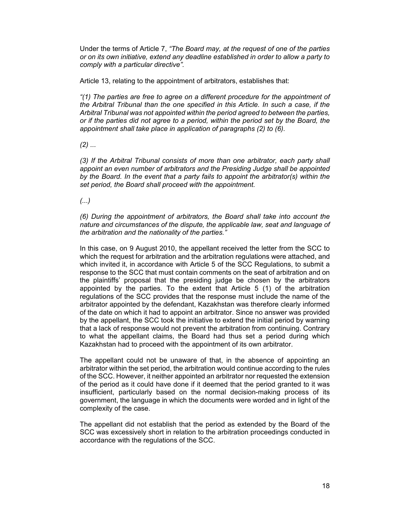Under the terms of Article 7, *"The Board may, at the request of one of the parties or on its own initiative, extend any deadline established in order to allow a party to comply with a particular directive".* 

Article 13, relating to the appointment of arbitrators, establishes that:

*"(1) The parties are free to agree on a different procedure for the appointment of the Arbitral Tribunal than the one specified in this Article. In such a case, if the Arbitral Tribunal was not appointed within the period agreed to between the parties, or if the parties did not agree to a period, within the period set by the Board, the appointment shall take place in application of paragraphs (2) to (6).* 

*(2) ...* 

*(3) If the Arbitral Tribunal consists of more than one arbitrator, each party shall appoint an even number of arbitrators and the Presiding Judge shall be appointed by the Board. In the event that a party fails to appoint the arbitrator(s) within the set period, the Board shall proceed with the appointment.* 

*(...)* 

*(6) During the appointment of arbitrators, the Board shall take into account the nature and circumstances of the dispute, the applicable law, seat and language of the arbitration and the nationality of the parties."* 

In this case, on 9 August 2010, the appellant received the letter from the SCC to which the request for arbitration and the arbitration regulations were attached, and which invited it, in accordance with Article 5 of the SCC Regulations, to submit a response to the SCC that must contain comments on the seat of arbitration and on the plaintiffs' proposal that the presiding judge be chosen by the arbitrators appointed by the parties. To the extent that Article 5 (1) of the arbitration regulations of the SCC provides that the response must include the name of the arbitrator appointed by the defendant, Kazakhstan was therefore clearly informed of the date on which it had to appoint an arbitrator. Since no answer was provided by the appellant, the SCC took the initiative to extend the initial period by warning that a lack of response would not prevent the arbitration from continuing. Contrary to what the appellant claims, the Board had thus set a period during which Kazakhstan had to proceed with the appointment of its own arbitrator.

The appellant could not be unaware of that, in the absence of appointing an arbitrator within the set period, the arbitration would continue according to the rules of the SCC. However, it neither appointed an arbitrator nor requested the extension of the period as it could have done if it deemed that the period granted to it was insufficient, particularly based on the normal decision-making process of its government, the language in which the documents were worded and in light of the complexity of the case.

The appellant did not establish that the period as extended by the Board of the SCC was excessively short in relation to the arbitration proceedings conducted in accordance with the regulations of the SCC.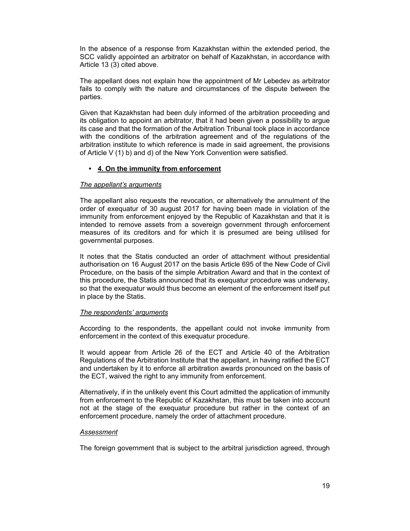In the absence of a response from Kazakhstan within the extended period, the SCC validly appointed an arbitrator on behalf of Kazakhstan, in accordance with Article 13 (3) cited above.

The appellant does not explain how the appointment of Mr Lebedev as arbitrator fails to comply with the nature and circumstances of the dispute between the parties.

Given that Kazakhstan had been duly informed of the arbitration proceeding and its obligation to appoint an arbitrator, that it had been given a possibility to argue its case and that the formation of the Arbitration Tribunal took place in accordance with the conditions of the arbitration agreement and of the regulations of the arbitration institute to which reference is made in said agreement, the provisions of Article V (1) b) and d) of the New York Convention were satisfied.

# **• 4. On the immunity from enforcement**

## *The appellant's arguments*

The appellant also requests the revocation, or alternatively the annulment of the order of exequatur of 30 august 2017 for having been made in violation of the immunity from enforcement enjoyed by the Republic of Kazakhstan and that it is intended to remove assets from a sovereign government through enforcement measures of its creditors and for which it is presumed are being utilised for governmental purposes.

It notes that the Statis conducted an order of attachment without presidential authorisation on 16 August 2017 on the basis Article 695 of the New Code of Civil Procedure, on the basis of the simple Arbitration Award and that in the context of this procedure, the Statis announced that its exequatur procedure was underway, so that the exequatur would thus become an element of the enforcement itself put in place by the Statis.

## *The respondents' arguments*

According to the respondents, the appellant could not invoke immunity from enforcement in the context of this exequatur procedure.

It would appear from Article 26 of the ECT and Article 40 of the Arbitration Regulations of the Arbitration Institute that the appellant, in having ratified the ECT and undertaken by it to enforce all arbitration awards pronounced on the basis of the ECT, waived the right to any immunity from enforcement.

Alternatively, if in the unlikely event this Court admitted the application of immunity from enforcement to the Republic of Kazakhstan, this must be taken into account not at the stage of the exequatur procedure but rather in the context of an enforcement procedure, namely the order of attachment procedure.

## *Assessment*

The foreign government that is subject to the arbitral jurisdiction agreed, through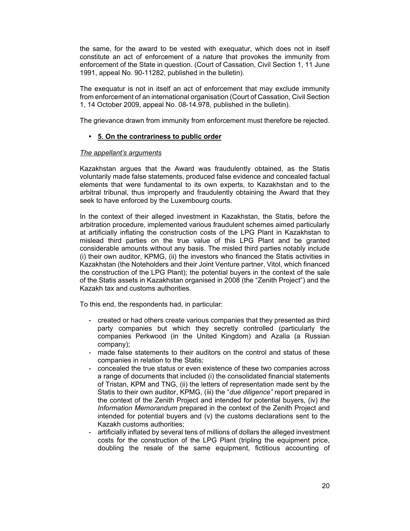the same, for the award to be vested with exequatur, which does not in itself constitute an act of enforcement of a nature that provokes the immunity from enforcement of the State in question. (Court of Cassation, Civil Section 1, 11 June 1991, appeal No. 90-11282, published in the bulletin).

The exequatur is not in itself an act of enforcement that may exclude immunity from enforcement of an international organisation (Court of Cassation, Civil Section 1, 14 October 2009, appeal No. 08-14.978, published in the bulletin).

The grievance drawn from immunity from enforcement must therefore be rejected.

# **• 5. On the contrariness to public order**

# *The appellant's arguments*

Kazakhstan argues that the Award was fraudulently obtained, as the Statis voluntarily made false statements, produced false evidence and concealed factual elements that were fundamental to its own experts, to Kazakhstan and to the arbitral tribunal, thus improperly and fraudulently obtaining the Award that they seek to have enforced by the Luxembourg courts.

In the context of their alleged investment in Kazakhstan, the Statis, before the arbitration procedure, implemented various fraudulent schemes aimed particularly at artificially inflating the construction costs of the LPG Plant in Kazakhstan to mislead third parties on the true value of this LPG Plant and be granted considerable amounts without any basis. The misled third parties notably include (i) their own auditor, KPMG, (ii) the investors who financed the Statis activities in Kazakhstan (the Noteholders and their Joint Venture partner, Vitol, which financed the construction of the LPG Plant); the potential buyers in the context of the sale of the Statis assets in Kazakhstan organised in 2008 (the "Zenith Project") and the Kazakh tax and customs authorities.

To this end, the respondents had, in particular:

- created or had others create various companies that they presented as third party companies but which they secretly controlled (particularly the companies Perkwood (in the United Kingdom) and Azalia (a Russian company);
- made false statements to their auditors on the control and status of these companies in relation to the Statis;
- concealed the true status or even existence of these two companies across a range of documents that included (i) the consolidated financial statements of Tristan, KPM and TNG, (ii) the letters of representation made sent by the Statis to their own auditor, KPMG, (iii) the "*due diligence"* report prepared in the context of the Zenith Project and intended for potential buyers, (iv) *the Information Memorandum* prepared in the context of the Zenith Project and intended for potential buyers and (v) the customs declarations sent to the Kazakh customs authorities;
- artificially inflated by several tens of millions of dollars the alleged investment costs for the construction of the LPG Plant (tripling the equipment price, doubling the resale of the same equipment, fictitious accounting of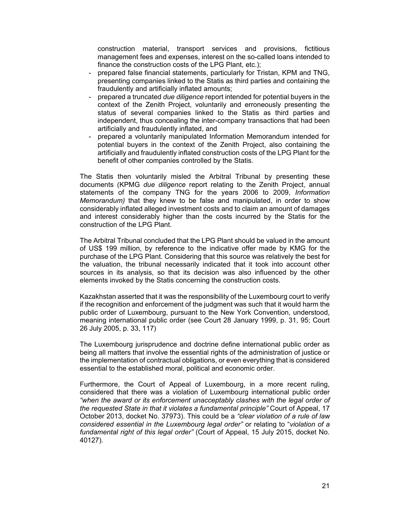construction material, transport services and provisions, fictitious management fees and expenses, interest on the so-called loans intended to finance the construction costs of the LPG Plant, etc.);

- prepared false financial statements, particularly for Tristan, KPM and TNG, presenting companies linked to the Statis as third parties and containing the fraudulently and artificially inflated amounts;
- prepared a truncated *due diligence* report intended for potential buyers in the context of the Zenith Project, voluntarily and erroneously presenting the status of several companies linked to the Statis as third parties and independent, thus concealing the inter-company transactions that had been artificially and fraudulently inflated, and
- prepared a voluntarily manipulated Information Memorandum intended for potential buyers in the context of the Zenith Project, also containing the artificially and fraudulently inflated construction costs of the LPG Plant for the benefit of other companies controlled by the Statis.

The Statis then voluntarily misled the Arbitral Tribunal by presenting these documents (KPMG *due diligence* report relating to the Zenith Project, annual statements of the company TNG for the years 2006 to 2009, *Information Memorandum)* that they knew to be false and manipulated, in order to show considerably inflated alleged investment costs and to claim an amount of damages and interest considerably higher than the costs incurred by the Statis for the construction of the LPG Plant.

The Arbitral Tribunal concluded that the LPG Plant should be valued in the amount of US\$ 199 million, by reference to the indicative offer made by KMG for the purchase of the LPG Plant. Considering that this source was relatively the best for the valuation, the tribunal necessarily indicated that it took into account other sources in its analysis, so that its decision was also influenced by the other elements invoked by the Statis concerning the construction costs.

Kazakhstan asserted that it was the responsibility of the Luxembourg court to verify if the recognition and enforcement of the judgment was such that it would harm the public order of Luxembourg, pursuant to the New York Convention, understood, meaning international public order (see Court 28 January 1999, p. 31, 95; Court 26 July 2005, p. 33, 117)

The Luxembourg jurisprudence and doctrine define international public order as being all matters that involve the essential rights of the administration of justice or the implementation of contractual obligations, or even everything that is considered essential to the established moral, political and economic order.

Furthermore, the Court of Appeal of Luxembourg, in a more recent ruling, considered that there was a violation of Luxembourg international public order *"when the award or its enforcement unacceptably clashes with the legal order of the requested State in that it violates a fundamental principle"* Court of Appeal, 17 October 2013, docket No. 37973). This could be a *"clear violation of a rule of law considered essential in the Luxembourg legal order"* or relating to "*violation of a fundamental right of this legal order"* (Court of Appeal, 15 July 2015, docket No. 40127).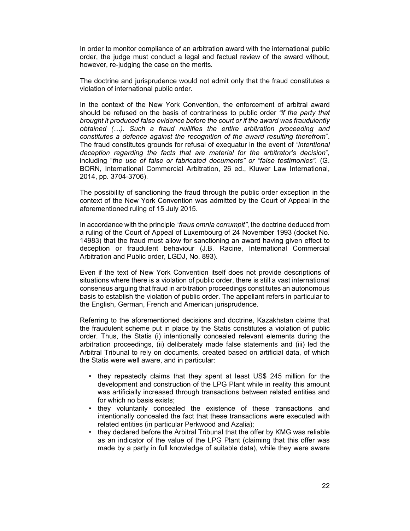In order to monitor compliance of an arbitration award with the international public order, the judge must conduct a legal and factual review of the award without, however, re-judging the case on the merits.

The doctrine and jurisprudence would not admit only that the fraud constitutes a violation of international public order.

In the context of the New York Convention, the enforcement of arbitral award should be refused on the basis of contrariness to public order *"if the party that brought it produced false evidence before the court or if the award was fraudulently obtained (…). Such a fraud nullifies the entire arbitration proceeding and constitutes a defence against the recognition of the award resulting therefrom*". The fraud constitutes grounds for refusal of exequatur in the event of *"intentional deception regarding the facts that are material for the arbitrator's decision*", including "*the use of false or fabricated documents" or "false testimonies".* (G. BORN, International Commercial Arbitration, 26 ed., Kluwer Law International, 2014, pp. 3704-3706).

The possibility of sanctioning the fraud through the public order exception in the context of the New York Convention was admitted by the Court of Appeal in the aforementioned ruling of 15 July 2015.

In accordance with the principle "*fraus omnia corrumpit"*, the doctrine deduced from a ruling of the Court of Appeal of Luxembourg of 24 November 1993 (docket No. 14983) that the fraud must allow for sanctioning an award having given effect to deception or fraudulent behaviour (J.B. Racine, International Commercial Arbitration and Public order, LGDJ, No. 893).

Even if the text of New York Convention itself does not provide descriptions of situations where there is a violation of public order, there is still a vast international consensus arguing that fraud in arbitration proceedings constitutes an autonomous basis to establish the violation of public order. The appellant refers in particular to the English, German, French and American jurisprudence.

Referring to the aforementioned decisions and doctrine, Kazakhstan claims that the fraudulent scheme put in place by the Statis constitutes a violation of public order. Thus, the Statis (i) intentionally concealed relevant elements during the arbitration proceedings, (ii) deliberately made false statements and (iii) led the Arbitral Tribunal to rely on documents, created based on artificial data, of which the Statis were well aware, and in particular:

- they repeatedly claims that they spent at least US\$ 245 million for the development and construction of the LPG Plant while in reality this amount was artificially increased through transactions between related entities and for which no basis exists;
- they voluntarily concealed the existence of these transactions and intentionally concealed the fact that these transactions were executed with related entities (in particular Perkwood and Azalia);
- they declared before the Arbitral Tribunal that the offer by KMG was reliable as an indicator of the value of the LPG Plant (claiming that this offer was made by a party in full knowledge of suitable data), while they were aware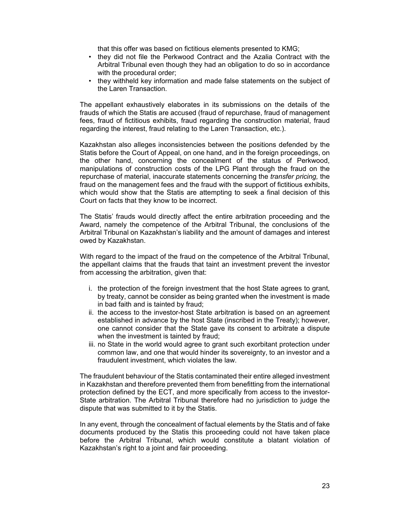that this offer was based on fictitious elements presented to KMG;

- they did not file the Perkwood Contract and the Azalia Contract with the Arbitral Tribunal even though they had an obligation to do so in accordance with the procedural order;
- they withheld key information and made false statements on the subject of the Laren Transaction.

The appellant exhaustively elaborates in its submissions on the details of the frauds of which the Statis are accused (fraud of repurchase, fraud of management fees, fraud of fictitious exhibits, fraud regarding the construction material, fraud regarding the interest, fraud relating to the Laren Transaction, etc.).

Kazakhstan also alleges inconsistencies between the positions defended by the Statis before the Court of Appeal, on one hand, and in the foreign proceedings, on the other hand, concerning the concealment of the status of Perkwood, manipulations of construction costs of the LPG Plant through the fraud on the repurchase of material, inaccurate statements concerning the *transfer pricing,* the fraud on the management fees and the fraud with the support of fictitious exhibits, which would show that the Statis are attempting to seek a final decision of this Court on facts that they know to be incorrect.

The Statis' frauds would directly affect the entire arbitration proceeding and the Award, namely the competence of the Arbitral Tribunal, the conclusions of the Arbitral Tribunal on Kazakhstan's liability and the amount of damages and interest owed by Kazakhstan.

With regard to the impact of the fraud on the competence of the Arbitral Tribunal, the appellant claims that the frauds that taint an investment prevent the investor from accessing the arbitration, given that:

- i. the protection of the foreign investment that the host State agrees to grant, by treaty, cannot be consider as being granted when the investment is made in bad faith and is tainted by fraud;
- ii. the access to the investor-host State arbitration is based on an agreement established in advance by the host State (inscribed in the Treaty); however, one cannot consider that the State gave its consent to arbitrate a dispute when the investment is tainted by fraud;
- iii. no State in the world would agree to grant such exorbitant protection under common law, and one that would hinder its sovereignty, to an investor and a fraudulent investment, which violates the law.

The fraudulent behaviour of the Statis contaminated their entire alleged investment in Kazakhstan and therefore prevented them from benefitting from the international protection defined by the ECT, and more specifically from access to the investor-State arbitration. The Arbitral Tribunal therefore had no jurisdiction to judge the dispute that was submitted to it by the Statis.

In any event, through the concealment of factual elements by the Statis and of fake documents produced by the Statis this proceeding could not have taken place before the Arbitral Tribunal, which would constitute a blatant violation of Kazakhstan's right to a joint and fair proceeding.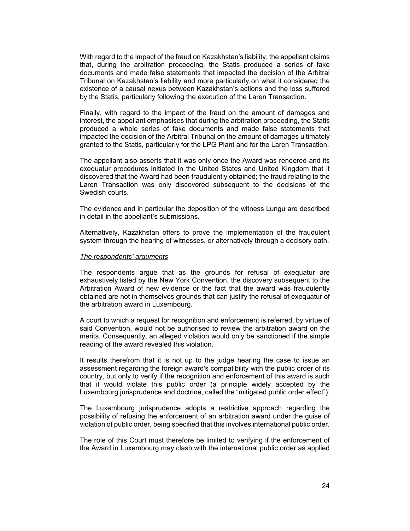With regard to the impact of the fraud on Kazakhstan's liability, the appellant claims that, during the arbitration proceeding, the Statis produced a series of fake documents and made false statements that impacted the decision of the Arbitral Tribunal on Kazakhstan's liability and more particularly on what it considered the existence of a causal nexus between Kazakhstan's actions and the loss suffered by the Statis, particularly following the execution of the Laren Transaction.

Finally, with regard to the impact of the fraud on the amount of damages and interest, the appellant emphasises that during the arbitration proceeding, the Statis produced a whole series of fake documents and made false statements that impacted the decision of the Arbitral Tribunal on the amount of damages ultimately granted to the Statis, particularly for the LPG Plant and for the Laren Transaction.

The appellant also asserts that it was only once the Award was rendered and its exequatur procedures initiated in the United States and United Kingdom that it discovered that the Award had been fraudulently obtained; the fraud relating to the Laren Transaction was only discovered subsequent to the decisions of the Swedish courts.

The evidence and in particular the deposition of the witness Lungu are described in detail in the appellant's submissions.

Alternatively, Kazakhstan offers to prove the implementation of the fraudulent system through the hearing of witnesses, or alternatively through a decisory oath.

#### *The respondents' arguments*

The respondents argue that as the grounds for refusal of exequatur are exhaustively listed by the New York Convention, the discovery subsequent to the Arbitration Award of new evidence or the fact that the award was fraudulently obtained are not in themselves grounds that can justify the refusal of exequatur of the arbitration award in Luxembourg.

A court to which a request for recognition and enforcement is referred, by virtue of said Convention, would not be authorised to review the arbitration award on the merits. Consequently, an alleged violation would only be sanctioned if the simple reading of the award revealed this violation.

It results therefrom that it is not up to the judge hearing the case to issue an assessment regarding the foreign award's compatibility with the public order of its country, but only to verify if the recognition and enforcement of this award is such that it would violate this public order (a principle widely accepted by the Luxembourg jurisprudence and doctrine, called the "mitigated public order effect").

The Luxembourg jurisprudence adopts a restrictive approach regarding the possibility of refusing the enforcement of an arbitration award under the guise of violation of public order, being specified that this involves international public order.

The role of this Court must therefore be limited to verifying if the enforcement of the Award in Luxembourg may clash with the international public order as applied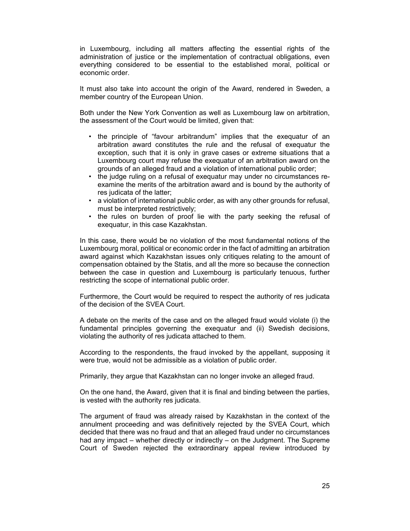in Luxembourg, including all matters affecting the essential rights of the administration of justice or the implementation of contractual obligations, even everything considered to be essential to the established moral, political or economic order.

It must also take into account the origin of the Award, rendered in Sweden, a member country of the European Union.

Both under the New York Convention as well as Luxembourg law on arbitration, the assessment of the Court would be limited, given that:

- the principle of "favour arbitrandum" implies that the exequatur of an arbitration award constitutes the rule and the refusal of exequatur the exception, such that it is only in grave cases or extreme situations that a Luxembourg court may refuse the exequatur of an arbitration award on the grounds of an alleged fraud and a violation of international public order;
- the judge ruling on a refusal of exequatur may under no circumstances reexamine the merits of the arbitration award and is bound by the authority of res judicata of the latter;
- a violation of international public order, as with any other grounds for refusal, must be interpreted restrictively;
- the rules on burden of proof lie with the party seeking the refusal of exequatur, in this case Kazakhstan.

In this case, there would be no violation of the most fundamental notions of the Luxembourg moral, political or economic order in the fact of admitting an arbitration award against which Kazakhstan issues only critiques relating to the amount of compensation obtained by the Statis, and all the more so because the connection between the case in question and Luxembourg is particularly tenuous, further restricting the scope of international public order.

Furthermore, the Court would be required to respect the authority of res judicata of the decision of the SVEA Court.

A debate on the merits of the case and on the alleged fraud would violate (i) the fundamental principles governing the exequatur and (ii) Swedish decisions, violating the authority of res judicata attached to them.

According to the respondents, the fraud invoked by the appellant, supposing it were true, would not be admissible as a violation of public order.

Primarily, they argue that Kazakhstan can no longer invoke an alleged fraud.

On the one hand, the Award, given that it is final and binding between the parties, is vested with the authority res judicata.

The argument of fraud was already raised by Kazakhstan in the context of the annulment proceeding and was definitively rejected by the SVEA Court, which decided that there was no fraud and that an alleged fraud under no circumstances had any impact – whether directly or indirectly – on the Judgment. The Supreme Court of Sweden rejected the extraordinary appeal review introduced by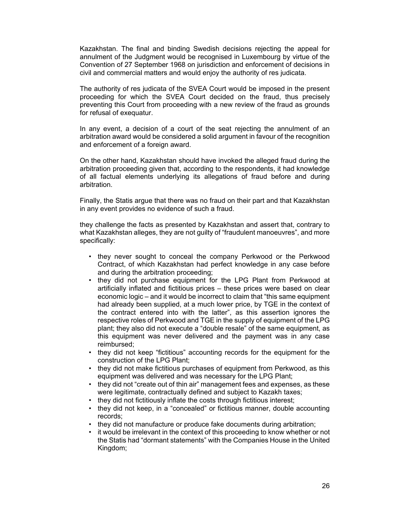Kazakhstan. The final and binding Swedish decisions rejecting the appeal for annulment of the Judgment would be recognised in Luxembourg by virtue of the Convention of 27 September 1968 on jurisdiction and enforcement of decisions in civil and commercial matters and would enjoy the authority of res judicata.

The authority of res judicata of the SVEA Court would be imposed in the present proceeding for which the SVEA Court decided on the fraud, thus precisely preventing this Court from proceeding with a new review of the fraud as grounds for refusal of exequatur.

In any event, a decision of a court of the seat rejecting the annulment of an arbitration award would be considered a solid argument in favour of the recognition and enforcement of a foreign award.

On the other hand, Kazakhstan should have invoked the alleged fraud during the arbitration proceeding given that, according to the respondents, it had knowledge of all factual elements underlying its allegations of fraud before and during arbitration.

Finally, the Statis argue that there was no fraud on their part and that Kazakhstan in any event provides no evidence of such a fraud.

they challenge the facts as presented by Kazakhstan and assert that, contrary to what Kazakhstan alleges, they are not guilty of "fraudulent manoeuvres", and more specifically:

- they never sought to conceal the company Perkwood or the Perkwood Contract, of which Kazakhstan had perfect knowledge in any case before and during the arbitration proceeding;
- they did not purchase equipment for the LPG Plant from Perkwood at artificially inflated and fictitious prices – these prices were based on clear economic logic – and it would be incorrect to claim that "this same equipment had already been supplied, at a much lower price, by TGE in the context of the contract entered into with the latter", as this assertion ignores the respective roles of Perkwood and TGE in the supply of equipment of the LPG plant; they also did not execute a "double resale" of the same equipment, as this equipment was never delivered and the payment was in any case reimbursed;
- they did not keep "fictitious" accounting records for the equipment for the construction of the LPG Plant;
- they did not make fictitious purchases of equipment from Perkwood, as this equipment was delivered and was necessary for the LPG Plant;
- they did not "create out of thin air" management fees and expenses, as these were legitimate, contractually defined and subject to Kazakh taxes;
- they did not fictitiously inflate the costs through fictitious interest;
- they did not keep, in a "concealed" or fictitious manner, double accounting records;
- they did not manufacture or produce fake documents during arbitration;
- it would be irrelevant in the context of this proceeding to know whether or not the Statis had "dormant statements" with the Companies House in the United Kingdom;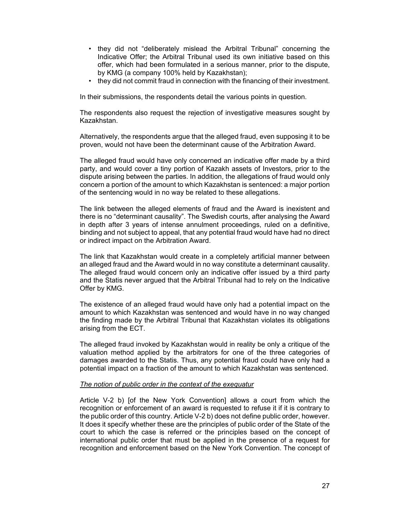- they did not "deliberately mislead the Arbitral Tribunal" concerning the Indicative Offer; the Arbitral Tribunal used its own initiative based on this offer, which had been formulated in a serious manner, prior to the dispute, by KMG (a company 100% held by Kazakhstan);
- they did not commit fraud in connection with the financing of their investment.

In their submissions, the respondents detail the various points in question.

The respondents also request the rejection of investigative measures sought by Kazakhstan.

Alternatively, the respondents argue that the alleged fraud, even supposing it to be proven, would not have been the determinant cause of the Arbitration Award.

The alleged fraud would have only concerned an indicative offer made by a third party, and would cover a tiny portion of Kazakh assets of Investors, prior to the dispute arising between the parties. In addition, the allegations of fraud would only concern a portion of the amount to which Kazakhstan is sentenced: a major portion of the sentencing would in no way be related to these allegations.

The link between the alleged elements of fraud and the Award is inexistent and there is no "determinant causality". The Swedish courts, after analysing the Award in depth after 3 years of intense annulment proceedings, ruled on a definitive, binding and not subject to appeal, that any potential fraud would have had no direct or indirect impact on the Arbitration Award.

The link that Kazakhstan would create in a completely artificial manner between an alleged fraud and the Award would in no way constitute a determinant causality. The alleged fraud would concern only an indicative offer issued by a third party and the Statis never argued that the Arbitral Tribunal had to rely on the Indicative Offer by KMG.

The existence of an alleged fraud would have only had a potential impact on the amount to which Kazakhstan was sentenced and would have in no way changed the finding made by the Arbitral Tribunal that Kazakhstan violates its obligations arising from the ECT.

The alleged fraud invoked by Kazakhstan would in reality be only a critique of the valuation method applied by the arbitrators for one of the three categories of damages awarded to the Statis. Thus, any potential fraud could have only had a potential impact on a fraction of the amount to which Kazakhstan was sentenced.

#### *The notion of public order in the context of the exequatur*

Article V-2 b) [of the New York Convention] allows a court from which the recognition or enforcement of an award is requested to refuse it if it is contrary to the public order of this country. Article V-2 b) does not define public order, however. It does it specify whether these are the principles of public order of the State of the court to which the case is referred or the principles based on the concept of international public order that must be applied in the presence of a request for recognition and enforcement based on the New York Convention. The concept of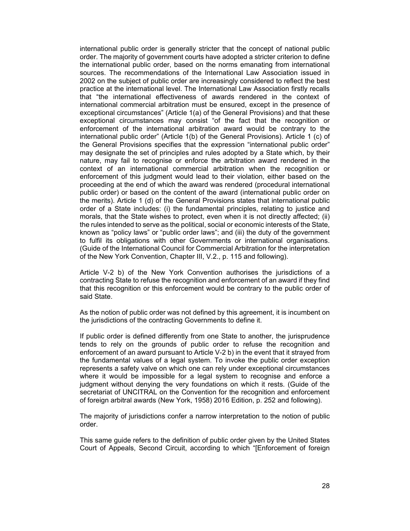international public order is generally stricter that the concept of national public order. The majority of government courts have adopted a stricter criterion to define the international public order, based on the norms emanating from international sources. The recommendations of the International Law Association issued in 2002 on the subject of public order are increasingly considered to reflect the best practice at the international level. The International Law Association firstly recalls that "the international effectiveness of awards rendered in the context of international commercial arbitration must be ensured, except in the presence of exceptional circumstances" (Article 1(a) of the General Provisions) and that these exceptional circumstances may consist "of the fact that the recognition or enforcement of the international arbitration award would be contrary to the international public order" (Article 1(b) of the General Provisions). Article 1 (c) of the General Provisions specifies that the expression "international public order" may designate the set of principles and rules adopted by a State which, by their nature, may fail to recognise or enforce the arbitration award rendered in the context of an international commercial arbitration when the recognition or enforcement of this judgment would lead to their violation, either based on the proceeding at the end of which the award was rendered (procedural international public order) or based on the content of the award (international public order on the merits). Article 1 (d) of the General Provisions states that international public order of a State includes: (i) the fundamental principles, relating to justice and morals, that the State wishes to protect, even when it is not directly affected; (ii) the rules intended to serve as the political, social or economic interests of the State, known as "policy laws" or "public order laws"; and (iii) the duty of the government to fulfil its obligations with other Governments or international organisations. (Guide of the International Council for Commercial Arbitration for the interpretation of the New York Convention, Chapter III, V.2., p. 115 and following).

Article V-2 b) of the New York Convention authorises the jurisdictions of a contracting State to refuse the recognition and enforcement of an award if they find that this recognition or this enforcement would be contrary to the public order of said State.

As the notion of public order was not defined by this agreement, it is incumbent on the jurisdictions of the contracting Governments to define it.

If public order is defined differently from one State to another, the jurisprudence tends to rely on the grounds of public order to refuse the recognition and enforcement of an award pursuant to Article V-2 b) in the event that it strayed from the fundamental values of a legal system. To invoke the public order exception represents a safety valve on which one can rely under exceptional circumstances where it would be impossible for a legal system to recognise and enforce a judgment without denying the very foundations on which it rests. (Guide of the secretariat of UNCITRAL on the Convention for the recognition and enforcement of foreign arbitral awards (New York, 1958) 2016 Edition, p. 252 and following).

The majority of jurisdictions confer a narrow interpretation to the notion of public order.

This same guide refers to the definition of public order given by the United States Court of Appeals, Second Circuit, according to which "[Enforcement of foreign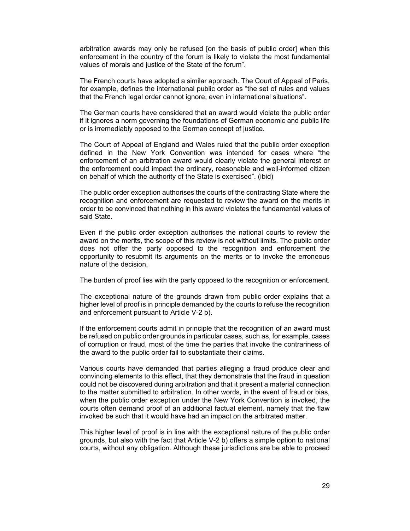arbitration awards may only be refused [on the basis of public order] when this enforcement in the country of the forum is likely to violate the most fundamental values of morals and justice of the State of the forum".

The French courts have adopted a similar approach. The Court of Appeal of Paris, for example, defines the international public order as "the set of rules and values that the French legal order cannot ignore, even in international situations".

The German courts have considered that an award would violate the public order if it ignores a norm governing the foundations of German economic and public life or is irremediably opposed to the German concept of justice.

The Court of Appeal of England and Wales ruled that the public order exception defined in the New York Convention was intended for cases where "the enforcement of an arbitration award would clearly violate the general interest or the enforcement could impact the ordinary, reasonable and well-informed citizen on behalf of which the authority of the State is exercised". (ibid)

The public order exception authorises the courts of the contracting State where the recognition and enforcement are requested to review the award on the merits in order to be convinced that nothing in this award violates the fundamental values of said State.

Even if the public order exception authorises the national courts to review the award on the merits, the scope of this review is not without limits. The public order does not offer the party opposed to the recognition and enforcement the opportunity to resubmit its arguments on the merits or to invoke the erroneous nature of the decision.

The burden of proof lies with the party opposed to the recognition or enforcement.

The exceptional nature of the grounds drawn from public order explains that a higher level of proof is in principle demanded by the courts to refuse the recognition and enforcement pursuant to Article V-2 b).

If the enforcement courts admit in principle that the recognition of an award must be refused on public order grounds in particular cases, such as, for example, cases of corruption or fraud, most of the time the parties that invoke the contrariness of the award to the public order fail to substantiate their claims.

Various courts have demanded that parties alleging a fraud produce clear and convincing elements to this effect, that they demonstrate that the fraud in question could not be discovered during arbitration and that it present a material connection to the matter submitted to arbitration. In other words, in the event of fraud or bias, when the public order exception under the New York Convention is invoked, the courts often demand proof of an additional factual element, namely that the flaw invoked be such that it would have had an impact on the arbitrated matter.

This higher level of proof is in line with the exceptional nature of the public order grounds, but also with the fact that Article V-2 b) offers a simple option to national courts, without any obligation. Although these jurisdictions are be able to proceed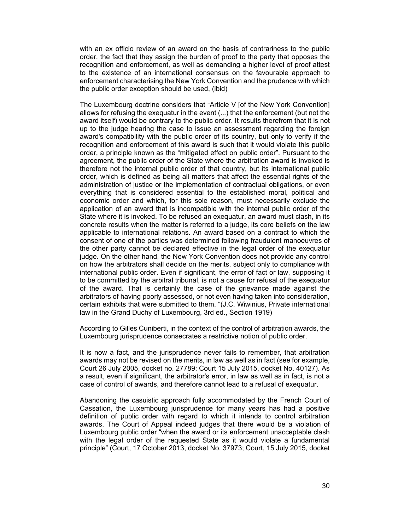with an ex officio review of an award on the basis of contrariness to the public order, the fact that they assign the burden of proof to the party that opposes the recognition and enforcement, as well as demanding a higher level of proof attest to the existence of an international consensus on the favourable approach to enforcement characterising the New York Convention and the prudence with which the public order exception should be used, (ibid)

The Luxembourg doctrine considers that "Article V [of the New York Convention] allows for refusing the exequatur in the event (...) that the enforcement (but not the award itself) would be contrary to the public order. It results therefrom that it is not up to the judge hearing the case to issue an assessment regarding the foreign award's compatibility with the public order of its country, but only to verify if the recognition and enforcement of this award is such that it would violate this public order, a principle known as the "mitigated effect on public order". Pursuant to the agreement, the public order of the State where the arbitration award is invoked is therefore not the internal public order of that country, but its international public order, which is defined as being all matters that affect the essential rights of the administration of justice or the implementation of contractual obligations, or even everything that is considered essential to the established moral, political and economic order and which, for this sole reason, must necessarily exclude the application of an award that is incompatible with the internal public order of the State where it is invoked. To be refused an exequatur, an award must clash, in its concrete results when the matter is referred to a judge, its core beliefs on the law applicable to international relations. An award based on a contract to which the consent of one of the parties was determined following fraudulent manoeuvres of the other party cannot be declared effective in the legal order of the exequatur judge. On the other hand, the New York Convention does not provide any control on how the arbitrators shall decide on the merits, subject only to compliance with international public order. Even if significant, the error of fact or law, supposing it to be committed by the arbitral tribunal, is not a cause for refusal of the exequatur of the award. That is certainly the case of the grievance made against the arbitrators of having poorly assessed, or not even having taken into consideration, certain exhibits that were submitted to them. "(J.C. Wiwinius, Private international law in the Grand Duchy of Luxembourg, 3rd ed., Section 1919)

According to Gilles Cuniberti, in the context of the control of arbitration awards, the Luxembourg jurisprudence consecrates a restrictive notion of public order.

It is now a fact, and the jurisprudence never fails to remember, that arbitration awards may not be revised on the merits, in law as well as in fact (see for example, Court 26 July 2005, docket no. 27789; Court 15 July 2015, docket No. 40127). As a result, even if significant, the arbitrator's error, in law as well as in fact, is not a case of control of awards, and therefore cannot lead to a refusal of exequatur.

Abandoning the casuistic approach fully accommodated by the French Court of Cassation, the Luxembourg jurisprudence for many years has had a positive definition of public order with regard to which it intends to control arbitration awards. The Court of Appeal indeed judges that there would be a violation of Luxembourg public order "when the award or its enforcement unacceptable clash with the legal order of the requested State as it would violate a fundamental principle" (Court, 17 October 2013, docket No. 37973; Court, 15 July 2015, docket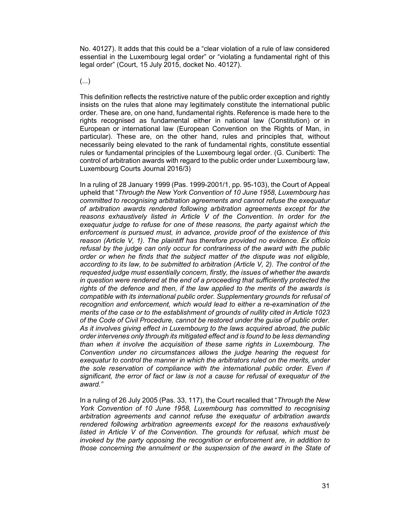No. 40127). It adds that this could be a "clear violation of a rule of law considered essential in the Luxembourg legal order" or "violating a fundamental right of this legal order" (Court, 15 July 2015, docket No. 40127).

(...)

This definition reflects the restrictive nature of the public order exception and rightly insists on the rules that alone may legitimately constitute the international public order. These are, on one hand, fundamental rights. Reference is made here to the rights recognised as fundamental either in national law (Constitution) or in European or international law (European Convention on the Rights of Man, in particular). These are, on the other hand, rules and principles that, without necessarily being elevated to the rank of fundamental rights, constitute essential rules or fundamental principles of the Luxembourg legal order. (G. Cuniberti: The control of arbitration awards with regard to the public order under Luxembourg law, Luxembourg Courts Journal 2016/3)

In a ruling of 28 January 1999 (Pas. 1999-2001/1, pp. 95-103), the Court of Appeal upheld that "*Through the New York Convention of 10 June 1958, Luxembourg has committed to recognising arbitration agreements and cannot refuse the exequatur of arbitration awards rendered following arbitration agreements except for the reasons exhaustively listed in Article V of the Convention. In order for the exequatur judge to refuse for one of these reasons, the party against which the enforcement is pursued must, in advance, provide proof of the existence of this reason (Article V, 1). The plaintiff has therefore provided no evidence. Ex officio refusal by the judge can only occur for contrariness of the award with the public order or when he finds that the subject matter of the dispute was not eligible, according to its law, to be submitted to arbitration (Article V, 2). The control of the requested judge must essentially concern, firstly, the issues of whether the awards in question were rendered at the end of a proceeding that sufficiently protected the rights of the defence and then, if the law applied to the merits of the awards is compatible with its international public order. Supplementary grounds for refusal of recognition and enforcement, which would lead to either a re-examination of the merits of the case or to the establishment of grounds of nullity cited in Article 1023 of the Code of Civil Procedure, cannot be restored under the guise of public order. As it involves giving effect in Luxembourg to the laws acquired abroad, the public order intervenes only through its mitigated effect and is found to be less demanding than when it involve the acquisition of these same rights in Luxembourg. The Convention under no circumstances allows the judge hearing the request for exequatur to control the manner in which the arbitrators ruled on the merits, under the sole reservation of compliance with the international public order. Even if significant, the error of fact or law is not a cause for refusal of exequatur of the award."* 

In a ruling of 26 July 2005 (Pas. 33, 117), the Court recalled that "*Through the New York Convention of 10 June 1958, Luxembourg has committed to recognising arbitration agreements and cannot refuse the exequatur of arbitration awards rendered following arbitration agreements except for the reasons exhaustively listed in Article V of the Convention. The grounds for refusal, which must be invoked by the party opposing the recognition or enforcement are, in addition to those concerning the annulment or the suspension of the award in the State of*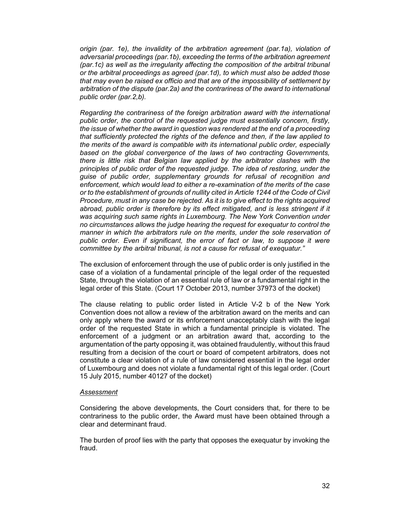*origin (par. 1e), the invalidity of the arbitration agreement (par.1a), violation of adversarial proceedings (par.1b), exceeding the terms of the arbitration agreement (par.1c) as well as the irregularity affecting the composition of the arbitral tribunal or the arbitral proceedings as agreed (par.1d), to which must also be added those that may even be raised ex officio and that are of the impossibility of settlement by arbitration of the dispute (par.2a) and the contrariness of the award to international public order (par.2,b).* 

*Regarding the contrariness of the foreign arbitration award with the international public order, the control of the requested judge must essentially concern, firstly, the issue of whether the award in question was rendered at the end of a proceeding that sufficiently protected the rights of the defence and then, if the law applied to the merits of the award is compatible with its international public order, especially based on the global convergence of the laws of two contracting Governments, there is little risk that Belgian law applied by the arbitrator clashes with the principles of public order of the requested judge. The idea of restoring, under the guise of public order, supplementary grounds for refusal of recognition and enforcement, which would lead to either a re-examination of the merits of the case or to the establishment of grounds of nullity cited in Article 1244 of the Code of Civil Procedure, must in any case be rejected. As it is to give effect to the rights acquired abroad, public order is therefore by its effect mitigated, and is less stringent if it was acquiring such same rights in Luxembourg. The New York Convention under no circumstances allows the judge hearing the request for exequatur to control the manner in which the arbitrators rule on the merits, under the sole reservation of public order. Even if significant, the error of fact or law, to suppose it were committee by the arbitral tribunal, is not a cause for refusal of exequatur."* 

The exclusion of enforcement through the use of public order is only justified in the case of a violation of a fundamental principle of the legal order of the requested State, through the violation of an essential rule of law or a fundamental right in the legal order of this State. (Court 17 October 2013, number 37973 of the docket)

The clause relating to public order listed in Article V-2 b of the New York Convention does not allow a review of the arbitration award on the merits and can only apply where the award or its enforcement unacceptably clash with the legal order of the requested State in which a fundamental principle is violated. The enforcement of a judgment or an arbitration award that, according to the argumentation of the party opposing it, was obtained fraudulently, without this fraud resulting from a decision of the court or board of competent arbitrators, does not constitute a clear violation of a rule of law considered essential in the legal order of Luxembourg and does not violate a fundamental right of this legal order. (Court 15 July 2015, number 40127 of the docket)

#### *Assessment*

Considering the above developments, the Court considers that, for there to be contrariness to the public order, the Award must have been obtained through a clear and determinant fraud.

The burden of proof lies with the party that opposes the exequatur by invoking the fraud.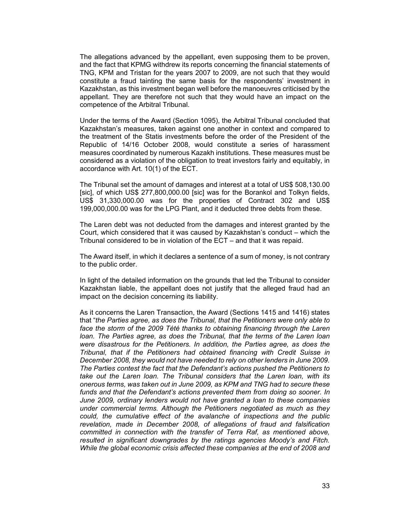The allegations advanced by the appellant, even supposing them to be proven, and the fact that KPMG withdrew its reports concerning the financial statements of TNG, KPM and Tristan for the years 2007 to 2009, are not such that they would constitute a fraud tainting the same basis for the respondents' investment in Kazakhstan, as this investment began well before the manoeuvres criticised by the appellant. They are therefore not such that they would have an impact on the competence of the Arbitral Tribunal.

Under the terms of the Award (Section 1095), the Arbitral Tribunal concluded that Kazakhstan's measures, taken against one another in context and compared to the treatment of the Statis investments before the order of the President of the Republic of 14/16 October 2008, would constitute a series of harassment measures coordinated by numerous Kazakh institutions. These measures must be considered as a violation of the obligation to treat investors fairly and equitably, in accordance with Art. 10(1) of the ECT.

The Tribunal set the amount of damages and interest at a total of US\$ 508,130.00 [sic], of which US\$ 277,800,000.00 [sic] was for the Borankol and Tolkyn fields, US\$ 31,330,000.00 was for the properties of Contract 302 and US\$ 199,000,000.00 was for the LPG Plant, and it deducted three debts from these.

The Laren debt was not deducted from the damages and interest granted by the Court, which considered that it was caused by Kazakhstan's conduct – which the Tribunal considered to be in violation of the ECT – and that it was repaid.

The Award itself, in which it declares a sentence of a sum of money, is not contrary to the public order.

In light of the detailed information on the grounds that led the Tribunal to consider Kazakhstan liable, the appellant does not justify that the alleged fraud had an impact on the decision concerning its liability.

As it concerns the Laren Transaction, the Award (Sections 1415 and 1416) states that "*the Parties agree, as does the Tribunal, that the Petitioners were only able to*  face the storm of the 2009 Tété thanks to obtaining financing through the Laren *loan. The Parties agree, as does the Tribunal, that the terms of the Laren loan were disastrous for the Petitioners. In addition, the Parties agree, as does the Tribunal, that if the Petitioners had obtained financing with Credit Suisse in December 2008, they would not have needed to rely on other lenders in June 2009. The Parties contest the fact that the Defendant's actions pushed the Petitioners to take out the Laren loan. The Tribunal considers that the Laren loan, with its onerous terms, was taken out in June 2009, as KPM and TNG had to secure these funds and that the Defendant's actions prevented them from doing so sooner. In June 2009, ordinary lenders would not have granted a loan to these companies under commercial terms. Although the Petitioners negotiated as much as they could, the cumulative effect of the avalanche of inspections and the public revelation, made in December 2008, of allegations of fraud and falsification committed in connection with the transfer of Terra Raf, as mentioned above, resulted in significant downgrades by the ratings agencies Moody's and Fitch. While the global economic crisis affected these companies at the end of 2008 and*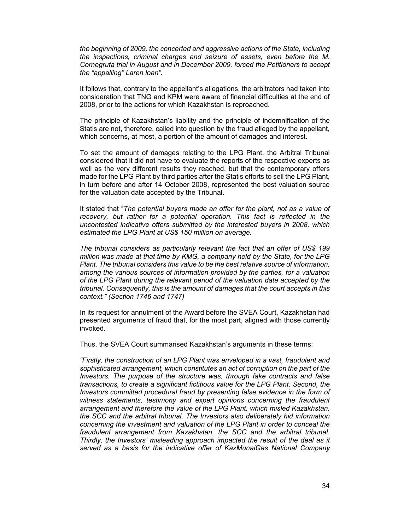*the beginning of 2009, the concerted and aggressive actions of the State, including the inspections, criminal charges and seizure of assets, even before the M. Cornegruta trial in August and in December 2009, forced the Petitioners to accept the "appalling" Laren loan".* 

It follows that, contrary to the appellant's allegations, the arbitrators had taken into consideration that TNG and KPM were aware of financial difficulties at the end of 2008, prior to the actions for which Kazakhstan is reproached.

The principle of Kazakhstan's liability and the principle of indemnification of the Statis are not, therefore, called into question by the fraud alleged by the appellant, which concerns, at most, a portion of the amount of damages and interest.

To set the amount of damages relating to the LPG Plant, the Arbitral Tribunal considered that it did not have to evaluate the reports of the respective experts as well as the very different results they reached, but that the contemporary offers made for the LPG Plant by third parties after the Statis efforts to sell the LPG Plant, in turn before and after 14 October 2008, represented the best valuation source for the valuation date accepted by the Tribunal.

It stated that "*The potential buyers made an offer for the plant, not as a value of recovery, but rather for a potential operation. This fact is reflected in the uncontested indicative offers submitted by the interested buyers in 2008, which estimated the LPG Plant at US\$ 150 million on average.* 

*The tribunal considers as particularly relevant the fact that an offer of US\$ 199 million was made at that time by KMG, a company held by the State, for the LPG Plant. The tribunal considers this value to be the best relative source of information, among the various sources of information provided by the parties, for a valuation of the LPG Plant during the relevant period of the valuation date accepted by the tribunal. Consequently, this is the amount of damages that the court accepts in this context." (Section 1746 and 1747)* 

In its request for annulment of the Award before the SVEA Court, Kazakhstan had presented arguments of fraud that, for the most part, aligned with those currently invoked.

Thus, the SVEA Court summarised Kazakhstan's arguments in these terms:

*"Firstly, the construction of an LPG Plant was enveloped in a vast, fraudulent and sophisticated arrangement, which constitutes an act of corruption on the part of the Investors. The purpose of the structure was, through fake contracts and false transactions, to create a significant fictitious value for the LPG Plant. Second, the Investors committed procedural fraud by presenting false evidence in the form of witness statements, testimony and expert opinions concerning the fraudulent arrangement and therefore the value of the LPG Plant, which misled Kazakhstan, the SCC and the arbitral tribunal. The Investors also deliberately hid information concerning the investment and valuation of the LPG Plant in order to conceal the fraudulent arrangement from Kazakhstan, the SCC and the arbitral tribunal. Thirdly, the Investors' misleading approach impacted the result of the deal as it served as a basis for the indicative offer of KazMunaiGas National Company*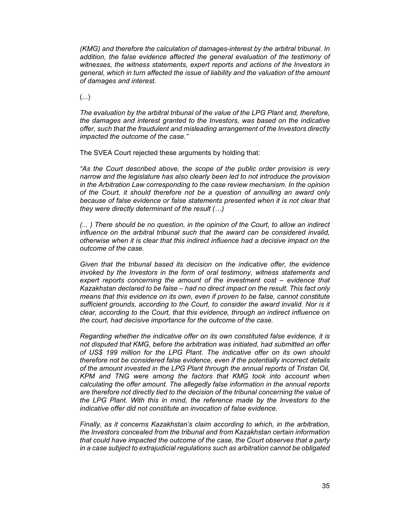*(KMG) and therefore the calculation of damages-interest by the arbitral tribunal. In*  addition, the false evidence affected the general evaluation of the testimony of *witnesses, the witness statements, expert reports and actions of the Investors in general, which in turn affected the issue of liability and the valuation of the amount of damages and interest.* 

(...)

*The evaluation by the arbitral tribunal of the value of the LPG Plant and, therefore, the damages and interest granted to the Investors, was based on the indicative offer, such that the fraudulent and misleading arrangement of the Investors directly impacted the outcome of the case."* 

The SVEA Court rejected these arguments by holding that:

*"As the Court described above, the scope of the public order provision is very narrow and the legislature has also clearly been led to not introduce the provision in the Arbitration Law corresponding to the case review mechanism. In the opinion of the Court, it should therefore not be a question of annulling an award only because of false evidence or false statements presented when it is not clear that they were directly determinant of the result (…)* 

*(... ) There should be no question, in the opinion of the Court, to allow an indirect influence on the arbitral tribunal such that the award can be considered invalid, otherwise when it is clear that this indirect influence had a decisive impact on the outcome of the case.* 

*Given that the tribunal based its decision on the indicative offer, the evidence invoked by the Investors in the form of oral testimony, witness statements and expert reports concerning the amount of the investment cost – evidence that Kazakhstan declared to be false – had no direct impact on the result. This fact only means that this evidence on its own, even if proven to be false, cannot constitute sufficient grounds, according to the Court, to consider the award invalid. Nor is it clear, according to the Court, that this evidence, through an indirect influence on the court, had decisive importance for the outcome of the case.* 

*Regarding whether the indicative offer on its own constituted false evidence, it is not disputed that KMG, before the arbitration was initiated, had submitted an offer of US\$ 199 million for the LPG Plant. The indicative offer on its own should therefore not be considered false evidence, even if the potentially incorrect details of the amount invested in the LPG Plant through the annual reports of Tristan Oil, KPM and TNG were among the factors that KMG took into account when calculating the offer amount. The allegedly false information in the annual reports are therefore not directly tied to the decision of the tribunal concerning the value of the LPG Plant. With this in mind, the reference made by the Investors to the indicative offer did not constitute an invocation of false evidence.* 

*Finally, as it concerns Kazakhstan's claim according to which, in the arbitration, the Investors concealed from the tribunal and from Kazakhstan certain information that could have impacted the outcome of the case, the Court observes that a party in a case subject to extrajudicial regulations such as arbitration cannot be obligated*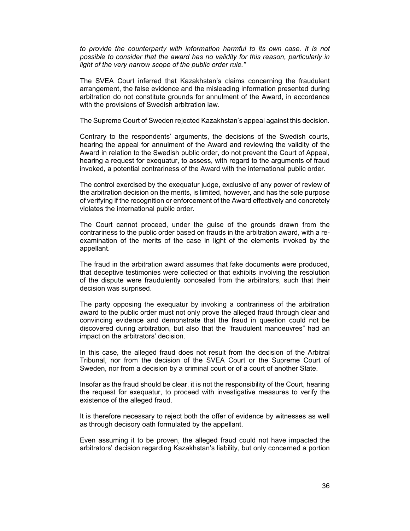*to provide the counterparty with information harmful to its own case. It is not possible to consider that the award has no validity for this reason, particularly in light of the very narrow scope of the public order rule."* 

The SVEA Court inferred that Kazakhstan's claims concerning the fraudulent arrangement, the false evidence and the misleading information presented during arbitration do not constitute grounds for annulment of the Award, in accordance with the provisions of Swedish arbitration law.

The Supreme Court of Sweden rejected Kazakhstan's appeal against this decision.

Contrary to the respondents' arguments, the decisions of the Swedish courts, hearing the appeal for annulment of the Award and reviewing the validity of the Award in relation to the Swedish public order, do not prevent the Court of Appeal, hearing a request for exequatur, to assess, with regard to the arguments of fraud invoked, a potential contrariness of the Award with the international public order.

The control exercised by the exequatur judge, exclusive of any power of review of the arbitration decision on the merits, is limited, however, and has the sole purpose of verifying if the recognition or enforcement of the Award effectively and concretely violates the international public order.

The Court cannot proceed, under the guise of the grounds drawn from the contrariness to the public order based on frauds in the arbitration award, with a reexamination of the merits of the case in light of the elements invoked by the appellant.

The fraud in the arbitration award assumes that fake documents were produced, that deceptive testimonies were collected or that exhibits involving the resolution of the dispute were fraudulently concealed from the arbitrators, such that their decision was surprised.

The party opposing the exequatur by invoking a contrariness of the arbitration award to the public order must not only prove the alleged fraud through clear and convincing evidence and demonstrate that the fraud in question could not be discovered during arbitration, but also that the "fraudulent manoeuvres" had an impact on the arbitrators' decision.

In this case, the alleged fraud does not result from the decision of the Arbitral Tribunal, nor from the decision of the SVEA Court or the Supreme Court of Sweden, nor from a decision by a criminal court or of a court of another State.

Insofar as the fraud should be clear, it is not the responsibility of the Court, hearing the request for exequatur, to proceed with investigative measures to verify the existence of the alleged fraud.

It is therefore necessary to reject both the offer of evidence by witnesses as well as through decisory oath formulated by the appellant.

Even assuming it to be proven, the alleged fraud could not have impacted the arbitrators' decision regarding Kazakhstan's liability, but only concerned a portion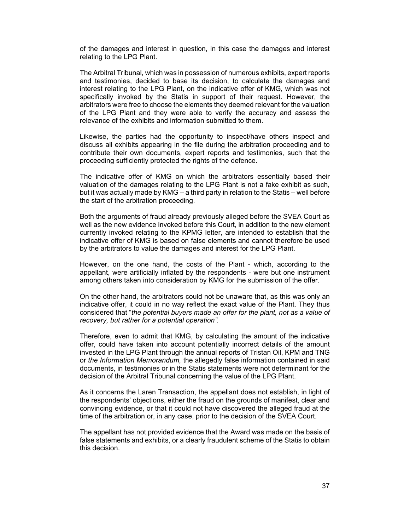of the damages and interest in question, in this case the damages and interest relating to the LPG Plant.

The Arbitral Tribunal, which was in possession of numerous exhibits, expert reports and testimonies, decided to base its decision, to calculate the damages and interest relating to the LPG Plant, on the indicative offer of KMG, which was not specifically invoked by the Statis in support of their request. However, the arbitrators were free to choose the elements they deemed relevant for the valuation of the LPG Plant and they were able to verify the accuracy and assess the relevance of the exhibits and information submitted to them.

Likewise, the parties had the opportunity to inspect/have others inspect and discuss all exhibits appearing in the file during the arbitration proceeding and to contribute their own documents, expert reports and testimonies, such that the proceeding sufficiently protected the rights of the defence.

The indicative offer of KMG on which the arbitrators essentially based their valuation of the damages relating to the LPG Plant is not a fake exhibit as such, but it was actually made by KMG – a third party in relation to the Statis – well before the start of the arbitration proceeding.

Both the arguments of fraud already previously alleged before the SVEA Court as well as the new evidence invoked before this Court, in addition to the new element currently invoked relating to the KPMG letter, are intended to establish that the indicative offer of KMG is based on false elements and cannot therefore be used by the arbitrators to value the damages and interest for the LPG Plant.

However, on the one hand, the costs of the Plant - which, according to the appellant, were artificially inflated by the respondents - were but one instrument among others taken into consideration by KMG for the submission of the offer.

On the other hand, the arbitrators could not be unaware that, as this was only an indicative offer, it could in no way reflect the exact value of the Plant. They thus considered that "*the potential buyers made an offer for the plant, not as a value of recovery, but rather for a potential operation".* 

Therefore, even to admit that KMG, by calculating the amount of the indicative offer, could have taken into account potentially incorrect details of the amount invested in the LPG Plant through the annual reports of Tristan Oil, KPM and TNG or *the Information Memorandum,* the allegedly false information contained in said documents, in testimonies or in the Statis statements were not determinant for the decision of the Arbitral Tribunal concerning the value of the LPG Plant.

As it concerns the Laren Transaction, the appellant does not establish, in light of the respondents' objections, either the fraud on the grounds of manifest, clear and convincing evidence, or that it could not have discovered the alleged fraud at the time of the arbitration or, in any case, prior to the decision of the SVEA Court.

The appellant has not provided evidence that the Award was made on the basis of false statements and exhibits, or a clearly fraudulent scheme of the Statis to obtain this decision.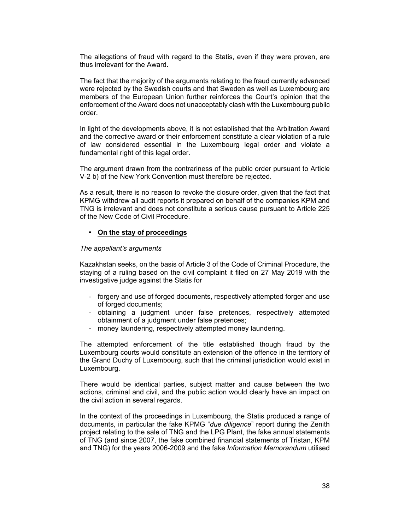The allegations of fraud with regard to the Statis, even if they were proven, are thus irrelevant for the Award.

The fact that the majority of the arguments relating to the fraud currently advanced were rejected by the Swedish courts and that Sweden as well as Luxembourg are members of the European Union further reinforces the Court's opinion that the enforcement of the Award does not unacceptably clash with the Luxembourg public order.

In light of the developments above, it is not established that the Arbitration Award and the corrective award or their enforcement constitute a clear violation of a rule of law considered essential in the Luxembourg legal order and violate a fundamental right of this legal order.

The argument drawn from the contrariness of the public order pursuant to Article V-2 b) of the New York Convention must therefore be rejected.

As a result, there is no reason to revoke the closure order, given that the fact that KPMG withdrew all audit reports it prepared on behalf of the companies KPM and TNG is irrelevant and does not constitute a serious cause pursuant to Article 225 of the New Code of Civil Procedure.

## **• On the stay of proceedings**

## *The appellant's arguments*

Kazakhstan seeks, on the basis of Article 3 of the Code of Criminal Procedure, the staying of a ruling based on the civil complaint it filed on 27 May 2019 with the investigative judge against the Statis for

- forgery and use of forged documents, respectively attempted forger and use of forged documents;
- obtaining a judgment under false pretences, respectively attempted obtainment of a judgment under false pretences;
- money laundering, respectively attempted money laundering.

The attempted enforcement of the title established though fraud by the Luxembourg courts would constitute an extension of the offence in the territory of the Grand Duchy of Luxembourg, such that the criminal jurisdiction would exist in Luxembourg.

There would be identical parties, subject matter and cause between the two actions, criminal and civil, and the public action would clearly have an impact on the civil action in several regards.

In the context of the proceedings in Luxembourg, the Statis produced a range of documents, in particular the fake KPMG "*due diligence*" report during the Zenith project relating to the sale of TNG and the LPG Plant, the fake annual statements of TNG (and since 2007, the fake combined financial statements of Tristan, KPM and TNG) for the years 2006-2009 and the fake *Information Memorandum* utilised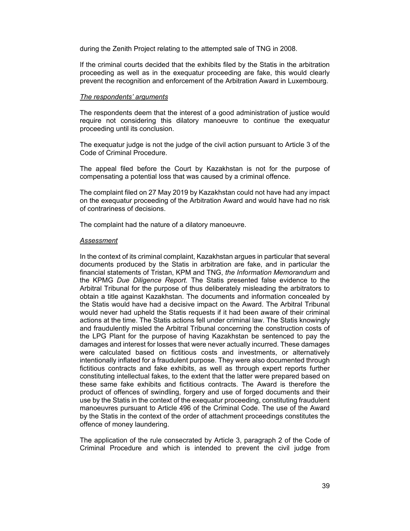during the Zenith Project relating to the attempted sale of TNG in 2008.

If the criminal courts decided that the exhibits filed by the Statis in the arbitration proceeding as well as in the exequatur proceeding are fake, this would clearly prevent the recognition and enforcement of the Arbitration Award in Luxembourg.

#### *The respondents' arguments*

The respondents deem that the interest of a good administration of justice would require not considering this dilatory manoeuvre to continue the exequatur proceeding until its conclusion.

The exequatur judge is not the judge of the civil action pursuant to Article 3 of the Code of Criminal Procedure.

The appeal filed before the Court by Kazakhstan is not for the purpose of compensating a potential loss that was caused by a criminal offence.

The complaint filed on 27 May 2019 by Kazakhstan could not have had any impact on the exequatur proceeding of the Arbitration Award and would have had no risk of contrariness of decisions.

The complaint had the nature of a dilatory manoeuvre.

#### *Assessment*

In the context of its criminal complaint, Kazakhstan argues in particular that several documents produced by the Statis in arbitration are fake, and in particular the financial statements of Tristan, KPM and TNG, *the Information Memorandum* and the KPMG *Due Diligence Report.* The Statis presented false evidence to the Arbitral Tribunal for the purpose of thus deliberately misleading the arbitrators to obtain a title against Kazakhstan. The documents and information concealed by the Statis would have had a decisive impact on the Award. The Arbitral Tribunal would never had upheld the Statis requests if it had been aware of their criminal actions at the time. The Statis actions fell under criminal law. The Statis knowingly and fraudulently misled the Arbitral Tribunal concerning the construction costs of the LPG Plant for the purpose of having Kazakhstan be sentenced to pay the damages and interest for losses that were never actually incurred. These damages were calculated based on fictitious costs and investments, or alternatively intentionally inflated for a fraudulent purpose. They were also documented through fictitious contracts and fake exhibits, as well as through expert reports further constituting intellectual fakes, to the extent that the latter were prepared based on these same fake exhibits and fictitious contracts. The Award is therefore the product of offences of swindling, forgery and use of forged documents and their use by the Statis in the context of the exequatur proceeding, constituting fraudulent manoeuvres pursuant to Article 496 of the Criminal Code. The use of the Award by the Statis in the context of the order of attachment proceedings constitutes the offence of money laundering.

The application of the rule consecrated by Article 3, paragraph 2 of the Code of Criminal Procedure and which is intended to prevent the civil judge from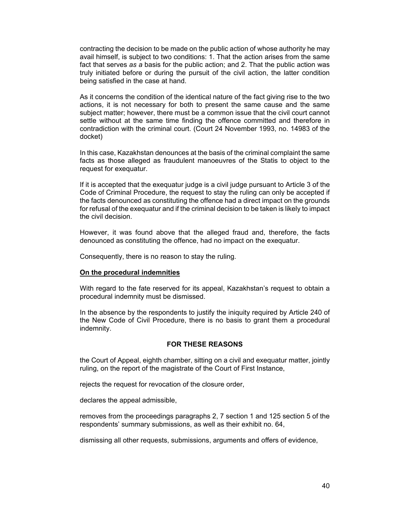contracting the decision to be made on the public action of whose authority he may avail himself, is subject to two conditions: 1. That the action arises from the same fact that serves *as a* basis for the public action; and 2. That the public action was truly initiated before or during the pursuit of the civil action, the latter condition being satisfied in the case at hand.

As it concerns the condition of the identical nature of the fact giving rise to the two actions, it is not necessary for both to present the same cause and the same subject matter; however, there must be a common issue that the civil court cannot settle without at the same time finding the offence committed and therefore in contradiction with the criminal court. (Court 24 November 1993, no. 14983 of the docket)

In this case, Kazakhstan denounces at the basis of the criminal complaint the same facts as those alleged as fraudulent manoeuvres of the Statis to object to the request for exequatur.

If it is accepted that the exequatur judge is a civil judge pursuant to Article 3 of the Code of Criminal Procedure, the request to stay the ruling can only be accepted if the facts denounced as constituting the offence had a direct impact on the grounds for refusal of the exequatur and if the criminal decision to be taken is likely to impact the civil decision.

However, it was found above that the alleged fraud and, therefore, the facts denounced as constituting the offence, had no impact on the exequatur.

Consequently, there is no reason to stay the ruling.

## **On the procedural indemnities**

With regard to the fate reserved for its appeal, Kazakhstan's request to obtain a procedural indemnity must be dismissed.

In the absence by the respondents to justify the iniquity required by Article 240 of the New Code of Civil Procedure, there is no basis to grant them a procedural indemnity.

## **FOR THESE REASONS**

the Court of Appeal, eighth chamber, sitting on a civil and exequatur matter, jointly ruling, on the report of the magistrate of the Court of First Instance,

rejects the request for revocation of the closure order,

declares the appeal admissible,

removes from the proceedings paragraphs 2, 7 section 1 and 125 section 5 of the respondents' summary submissions, as well as their exhibit no. 64,

dismissing all other requests, submissions, arguments and offers of evidence,